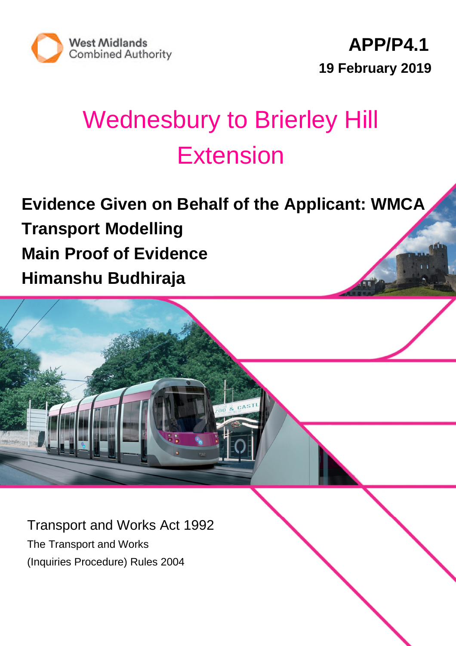

# Wednesbury to Brierley Hill **Extension**

**Evidence Given on Behalf of the Applicant: WMCA Transport Modelling Main Proof of Evidence Himanshu Budhiraja**

Transport and Works Act 1992 The Transport and Works (Inquiries Procedure) Rules 2004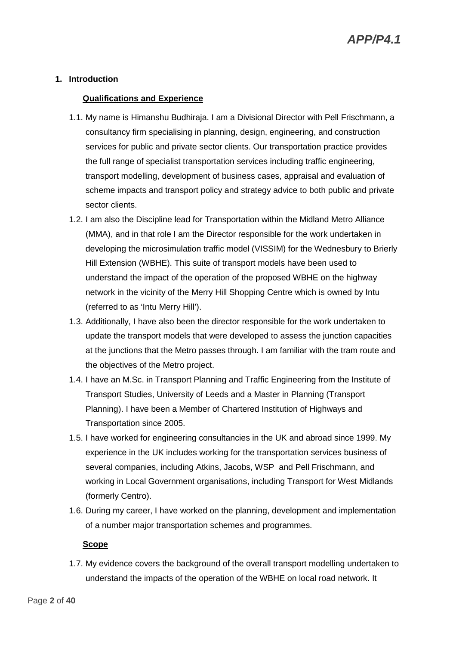#### **1. Introduction**

#### **Qualifications and Experience**

- 1.1. My name is Himanshu Budhiraja. I am a Divisional Director with Pell Frischmann, a consultancy firm specialising in planning, design, engineering, and construction services for public and private sector clients. Our transportation practice provides the full range of specialist transportation services including traffic engineering, transport modelling, development of business cases, appraisal and evaluation of scheme impacts and transport policy and strategy advice to both public and private sector clients.
- 1.2. I am also the Discipline lead for Transportation within the Midland Metro Alliance (MMA), and in that role I am the Director responsible for the work undertaken in developing the microsimulation traffic model (VISSIM) for the Wednesbury to Brierly Hill Extension (WBHE). This suite of transport models have been used to understand the impact of the operation of the proposed WBHE on the highway network in the vicinity of the Merry Hill Shopping Centre which is owned by Intu (referred to as 'Intu Merry Hill').
- 1.3. Additionally, I have also been the director responsible for the work undertaken to update the transport models that were developed to assess the junction capacities at the junctions that the Metro passes through. I am familiar with the tram route and the objectives of the Metro project.
- 1.4. I have an M.Sc. in Transport Planning and Traffic Engineering from the Institute of Transport Studies, University of Leeds and a Master in Planning (Transport Planning). I have been a Member of Chartered Institution of Highways and Transportation since 2005.
- 1.5. I have worked for engineering consultancies in the UK and abroad since 1999. My experience in the UK includes working for the transportation services business of several companies, including Atkins, Jacobs, WSP and Pell Frischmann, and working in Local Government organisations, including Transport for West Midlands (formerly Centro).
- 1.6. During my career, I have worked on the planning, development and implementation of a number major transportation schemes and programmes.

#### **Scope**

1.7. My evidence covers the background of the overall transport modelling undertaken to understand the impacts of the operation of the WBHE on local road network. It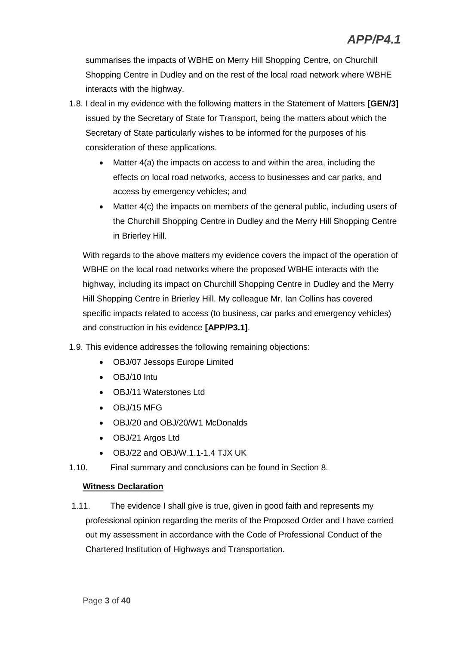summarises the impacts of WBHE on Merry Hill Shopping Centre, on Churchill Shopping Centre in Dudley and on the rest of the local road network where WBHE interacts with the highway.

- 1.8. I deal in my evidence with the following matters in the Statement of Matters **[GEN/3]** issued by the Secretary of State for Transport, being the matters about which the Secretary of State particularly wishes to be informed for the purposes of his consideration of these applications.
	- Matter 4(a) the impacts on access to and within the area, including the effects on local road networks, access to businesses and car parks, and access by emergency vehicles; and
	- Matter 4(c) the impacts on members of the general public, including users of the Churchill Shopping Centre in Dudley and the Merry Hill Shopping Centre in Brierley Hill.

With regards to the above matters my evidence covers the impact of the operation of WBHE on the local road networks where the proposed WBHE interacts with the highway, including its impact on Churchill Shopping Centre in Dudley and the Merry Hill Shopping Centre in Brierley Hill. My colleague Mr. Ian Collins has covered specific impacts related to access (to business, car parks and emergency vehicles) and construction in his evidence **[APP/P3.1]**.

- 1.9. This evidence addresses the following remaining objections:
	- OBJ/07 Jessops Europe Limited
	- OBJ/10 Intu
	- OBJ/11 Waterstones Ltd
	- OBJ/15 MFG
	- OBJ/20 and OBJ/20/W1 McDonalds
	- OBJ/21 Argos Ltd
	- OBJ/22 and OBJ/W.1.1-1.4 TJX UK
- 1.10. Final summary and conclusions can be found in Section 8.

#### **Witness Declaration**

1.11. The evidence I shall give is true, given in good faith and represents my professional opinion regarding the merits of the Proposed Order and I have carried out my assessment in accordance with the Code of Professional Conduct of the Chartered Institution of Highways and Transportation.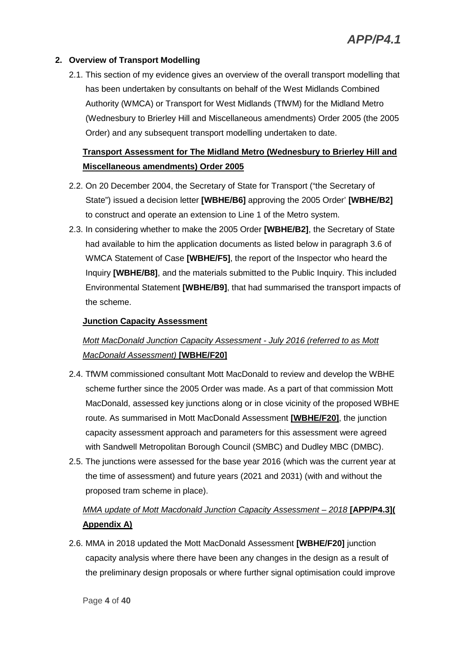#### **2. Overview of Transport Modelling**

2.1. This section of my evidence gives an overview of the overall transport modelling that has been undertaken by consultants on behalf of the West Midlands Combined Authority (WMCA) or Transport for West Midlands (TfWM) for the Midland Metro (Wednesbury to Brierley Hill and Miscellaneous amendments) Order 2005 (the 2005 Order) and any subsequent transport modelling undertaken to date.

## **Transport Assessment for The Midland Metro (Wednesbury to Brierley Hill and Miscellaneous amendments) Order 2005**

- 2.2. On 20 December 2004, the Secretary of State for Transport ("the Secretary of State") issued a decision letter **[WBHE/B6]** approving the 2005 Order' **[WBHE/B2]** to construct and operate an extension to Line 1 of the Metro system.
- 2.3. In considering whether to make the 2005 Order **[WBHE/B2]**, the Secretary of State had available to him the application documents as listed below in paragraph 3.6 of WMCA Statement of Case **[WBHE/F5]**, the report of the Inspector who heard the Inquiry **[WBHE/B8]**, and the materials submitted to the Public Inquiry. This included Environmental Statement **[WBHE/B9]**, that had summarised the transport impacts of the scheme.

#### **Junction Capacity Assessment**

## *Mott MacDonald Junction Capacity Assessment - July 2016 (referred to as Mott MacDonald Assessment)* **[WBHE/F20]**

- 2.4. TfWM commissioned consultant Mott MacDonald to review and develop the WBHE scheme further since the 2005 Order was made. As a part of that commission Mott MacDonald, assessed key junctions along or in close vicinity of the proposed WBHE route. As summarised in Mott MacDonald Assessment **[WBHE/F20]**, the junction capacity assessment approach and parameters for this assessment were agreed with Sandwell Metropolitan Borough Council (SMBC) and Dudley MBC (DMBC).
- 2.5. The junctions were assessed for the base year 2016 (which was the current year at the time of assessment) and future years (2021 and 2031) (with and without the proposed tram scheme in place).

## *MMA update of Mott Macdonald Junction Capacity Assessment – 2018* **[APP/P4.3]( Appendix A)**

2.6. MMA in 2018 updated the Mott MacDonald Assessment **[WBHE/F20]** junction capacity analysis where there have been any changes in the design as a result of the preliminary design proposals or where further signal optimisation could improve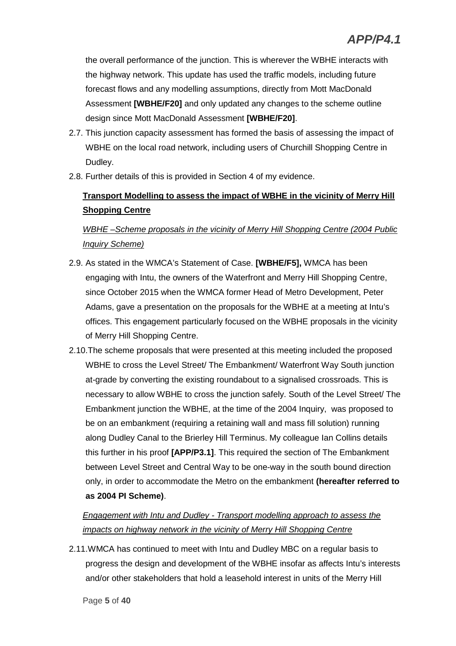the overall performance of the junction. This is wherever the WBHE interacts with the highway network. This update has used the traffic models, including future forecast flows and any modelling assumptions, directly from Mott MacDonald Assessment **[WBHE/F20]** and only updated any changes to the scheme outline design since Mott MacDonald Assessment **[WBHE/F20]**.

- 2.7. This junction capacity assessment has formed the basis of assessing the impact of WBHE on the local road network, including users of Churchill Shopping Centre in Dudley.
- 2.8. Further details of this is provided in Section 4 of my evidence.

## **Transport Modelling to assess the impact of WBHE in the vicinity of Merry Hill Shopping Centre**

## *WBHE –Scheme proposals in the vicinity of Merry Hill Shopping Centre (2004 Public Inquiry Scheme)*

- 2.9. As stated in the WMCA's Statement of Case. **[WBHE/F5],** WMCA has been engaging with Intu, the owners of the Waterfront and Merry Hill Shopping Centre, since October 2015 when the WMCA former Head of Metro Development, Peter Adams, gave a presentation on the proposals for the WBHE at a meeting at Intu's offices. This engagement particularly focused on the WBHE proposals in the vicinity of Merry Hill Shopping Centre.
- 2.10.The scheme proposals that were presented at this meeting included the proposed WBHE to cross the Level Street/ The Embankment/ Waterfront Way South junction at-grade by converting the existing roundabout to a signalised crossroads. This is necessary to allow WBHE to cross the junction safely. South of the Level Street/ The Embankment junction the WBHE, at the time of the 2004 Inquiry, was proposed to be on an embankment (requiring a retaining wall and mass fill solution) running along Dudley Canal to the Brierley Hill Terminus. My colleague Ian Collins details this further in his proof **[APP/P3.1]**. This required the section of The Embankment between Level Street and Central Way to be one-way in the south bound direction only, in order to accommodate the Metro on the embankment **(hereafter referred to as 2004 PI Scheme)**.

## *Engagement with Intu and Dudley - Transport modelling approach to assess the impacts on highway network in the vicinity of Merry Hill Shopping Centre*

2.11.WMCA has continued to meet with Intu and Dudley MBC on a regular basis to progress the design and development of the WBHE insofar as affects Intu's interests and/or other stakeholders that hold a leasehold interest in units of the Merry Hill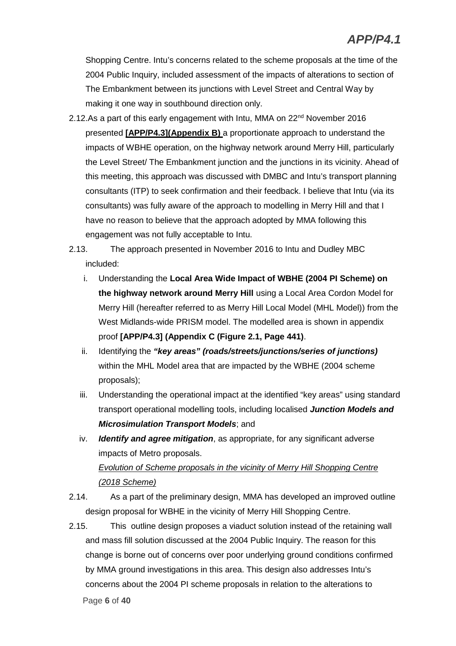Shopping Centre. Intu's concerns related to the scheme proposals at the time of the 2004 Public Inquiry, included assessment of the impacts of alterations to section of The Embankment between its junctions with Level Street and Central Way by making it one way in southbound direction only.

- 2.12.As a part of this early engagement with Intu, MMA on  $22<sup>nd</sup>$  November 2016 presented **[APP/P4.3](Appendix B)** a proportionate approach to understand the impacts of WBHE operation, on the highway network around Merry Hill, particularly the Level Street/ The Embankment junction and the junctions in its vicinity. Ahead of this meeting, this approach was discussed with DMBC and Intu's transport planning consultants (ITP) to seek confirmation and their feedback. I believe that Intu (via its consultants) was fully aware of the approach to modelling in Merry Hill and that I have no reason to believe that the approach adopted by MMA following this engagement was not fully acceptable to Intu.
- 2.13. The approach presented in November 2016 to Intu and Dudley MBC included:
	- i. Understanding the **Local Area Wide Impact of WBHE (2004 PI Scheme) on the highway network around Merry Hill** using a Local Area Cordon Model for Merry Hill (hereafter referred to as Merry Hill Local Model (MHL Model)) from the West Midlands-wide PRISM model. The modelled area is shown in appendix proof **[APP/P4.3] (Appendix C (Figure 2.1, Page 441)**.
	- ii. Identifying the *"key areas" (roads/streets/junctions/series of junctions)* within the MHL Model area that are impacted by the WBHE (2004 scheme proposals);
	- iii. Understanding the operational impact at the identified "key areas" using standard transport operational modelling tools, including localised *Junction Models and Microsimulation Transport Models*; and
	- iv. *Identify and agree mitigation*, as appropriate, for any significant adverse impacts of Metro proposals. *Evolution of Scheme proposals in the vicinity of Merry Hill Shopping Centre (2018 Scheme)*
- 2.14. As a part of the preliminary design, MMA has developed an improved outline design proposal for WBHE in the vicinity of Merry Hill Shopping Centre.
- Page **6** of **40** 2.15. This outline design proposes a viaduct solution instead of the retaining wall and mass fill solution discussed at the 2004 Public Inquiry. The reason for this change is borne out of concerns over poor underlying ground conditions confirmed by MMA ground investigations in this area. This design also addresses Intu's concerns about the 2004 PI scheme proposals in relation to the alterations to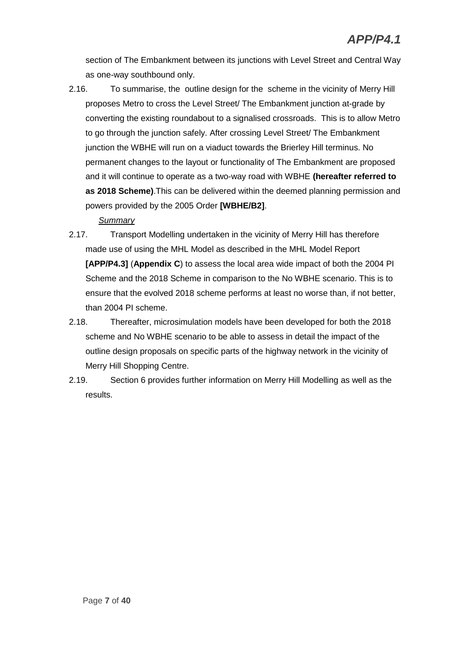section of The Embankment between its junctions with Level Street and Central Way as one-way southbound only.

2.16. To summarise, the outline design for the scheme in the vicinity of Merry Hill proposes Metro to cross the Level Street/ The Embankment junction at-grade by converting the existing roundabout to a signalised crossroads. This is to allow Metro to go through the junction safely. After crossing Level Street/ The Embankment junction the WBHE will run on a viaduct towards the Brierley Hill terminus. No permanent changes to the layout or functionality of The Embankment are proposed and it will continue to operate as a two-way road with WBHE **(hereafter referred to as 2018 Scheme)**.This can be delivered within the deemed planning permission and powers provided by the 2005 Order **[WBHE/B2]**.

#### *Summary*

- 2.17. Transport Modelling undertaken in the vicinity of Merry Hill has therefore made use of using the MHL Model as described in the MHL Model Report **[APP/P4.3]** (**Appendix C**) to assess the local area wide impact of both the 2004 PI Scheme and the 2018 Scheme in comparison to the No WBHE scenario. This is to ensure that the evolved 2018 scheme performs at least no worse than, if not better, than 2004 PI scheme.
- 2.18. Thereafter, microsimulation models have been developed for both the 2018 scheme and No WBHE scenario to be able to assess in detail the impact of the outline design proposals on specific parts of the highway network in the vicinity of Merry Hill Shopping Centre.
- 2.19. Section 6 provides further information on Merry Hill Modelling as well as the results.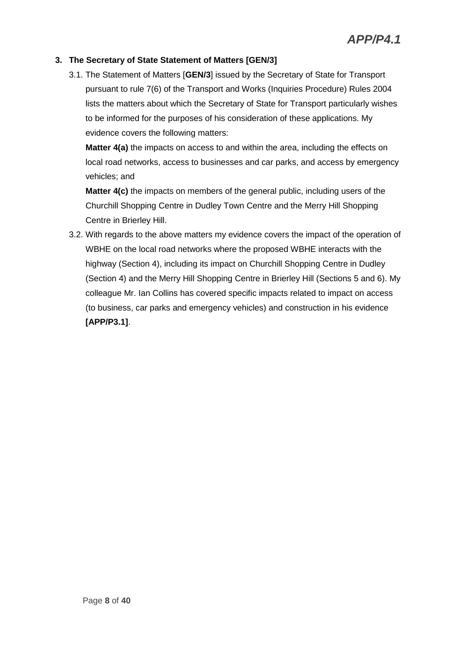#### **3. The Secretary of State Statement of Matters [GEN/3]**

3.1. The Statement of Matters [**GEN/3**] issued by the Secretary of State for Transport pursuant to rule 7(6) of the Transport and Works (Inquiries Procedure) Rules 2004 lists the matters about which the Secretary of State for Transport particularly wishes to be informed for the purposes of his consideration of these applications. My evidence covers the following matters:

**Matter 4(a)** the impacts on access to and within the area, including the effects on local road networks, access to businesses and car parks, and access by emergency vehicles; and

**Matter 4(c)** the impacts on members of the general public, including users of the Churchill Shopping Centre in Dudley Town Centre and the Merry Hill Shopping Centre in Brierley Hill.

3.2. With regards to the above matters my evidence covers the impact of the operation of WBHE on the local road networks where the proposed WBHE interacts with the highway (Section 4), including its impact on Churchill Shopping Centre in Dudley (Section 4) and the Merry Hill Shopping Centre in Brierley Hill (Sections 5 and 6). My colleague Mr. Ian Collins has covered specific impacts related to impact on access (to business, car parks and emergency vehicles) and construction in his evidence **[APP/P3.1]**.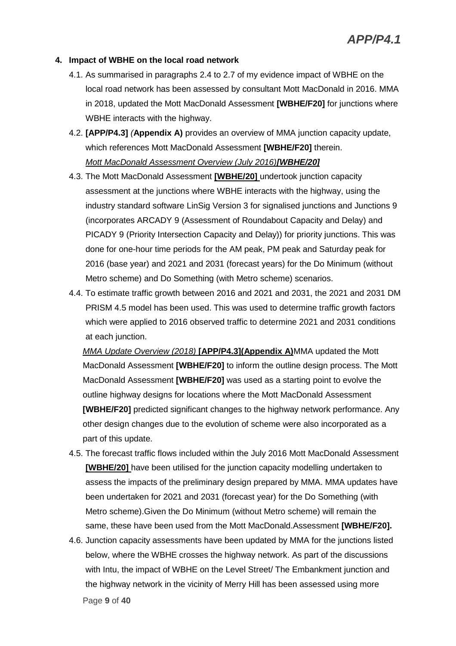#### **4. Impact of WBHE on the local road network**

- 4.1. As summarised in paragraphs 2.4 to 2.7 of my evidence impact of WBHE on the local road network has been assessed by consultant Mott MacDonald in 2016. MMA in 2018, updated the Mott MacDonald Assessment **[WBHE/F20]** for junctions where WBHE interacts with the highway.
- 4.2. **[APP/P4.3]** *(***Appendix A)** provides an overview of MMA junction capacity update, which references Mott MacDonald Assessment **[WBHE/F20]** therein. *Mott MacDonald Assessment Overview (July 2016)[WBHE/20]*
- 4.3. The Mott MacDonald Assessment **[WBHE/20]** undertook junction capacity assessment at the junctions where WBHE interacts with the highway, using the industry standard software LinSig Version 3 for signalised junctions and Junctions 9 (incorporates ARCADY 9 (Assessment of Roundabout Capacity and Delay) and PICADY 9 (Priority Intersection Capacity and Delay)) for priority junctions. This was done for one-hour time periods for the AM peak, PM peak and Saturday peak for 2016 (base year) and 2021 and 2031 (forecast years) for the Do Minimum (without Metro scheme) and Do Something (with Metro scheme) scenarios.
- 4.4. To estimate traffic growth between 2016 and 2021 and 2031, the 2021 and 2031 DM PRISM 4.5 model has been used. This was used to determine traffic growth factors which were applied to 2016 observed traffic to determine 2021 and 2031 conditions at each junction.

*MMA Update Overview (2018)* **[APP/P4.3](Appendix A)**MMA updated the Mott MacDonald Assessment **[WBHE/F20]** to inform the outline design process. The Mott MacDonald Assessment **[WBHE/F20]** was used as a starting point to evolve the outline highway designs for locations where the Mott MacDonald Assessment **[WBHE/F20]** predicted significant changes to the highway network performance. Any other design changes due to the evolution of scheme were also incorporated as a part of this update.

- 4.5. The forecast traffic flows included within the July 2016 Mott MacDonald Assessment **[WBHE/20]** have been utilised for the junction capacity modelling undertaken to assess the impacts of the preliminary design prepared by MMA. MMA updates have been undertaken for 2021 and 2031 (forecast year) for the Do Something (with Metro scheme).Given the Do Minimum (without Metro scheme) will remain the same, these have been used from the Mott MacDonald.Assessment **[WBHE/F20].**
- Page **9** of **40** 4.6. Junction capacity assessments have been updated by MMA for the junctions listed below, where the WBHE crosses the highway network. As part of the discussions with Intu, the impact of WBHE on the Level Street/ The Embankment junction and the highway network in the vicinity of Merry Hill has been assessed using more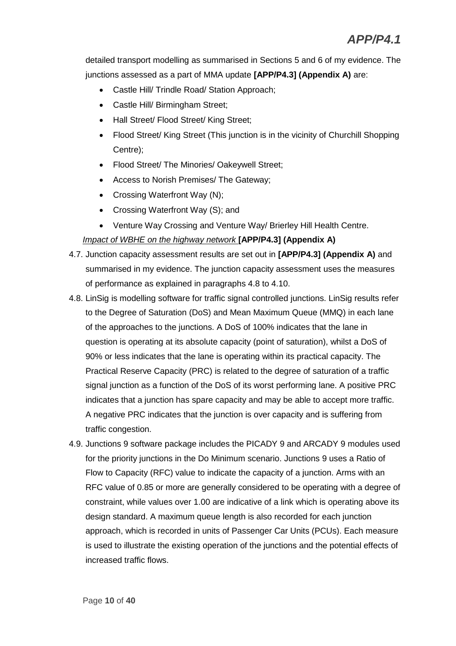detailed transport modelling as summarised in Sections 5 and 6 of my evidence. The junctions assessed as a part of MMA update **[APP/P4.3] (Appendix A)** are:

- Castle Hill/ Trindle Road/ Station Approach;
- Castle Hill/ Birmingham Street;
- Hall Street/ Flood Street/ King Street;
- Flood Street/ King Street (This junction is in the vicinity of Churchill Shopping Centre);
- Flood Street/ The Minories/ Oakeywell Street;
- Access to Norish Premises/ The Gateway;
- Crossing Waterfront Way (N);
- Crossing Waterfront Way (S); and
- Venture Way Crossing and Venture Way/ Brierley Hill Health Centre.

#### *Impact of WBHE on the highway network* **[APP/P4.3] (Appendix A)**

- 4.7. Junction capacity assessment results are set out in **[APP/P4.3] (Appendix A)** and summarised in my evidence. The junction capacity assessment uses the measures of performance as explained in paragraphs 4.8 to 4.10.
- 4.8. LinSig is modelling software for traffic signal controlled junctions. LinSig results refer to the Degree of Saturation (DoS) and Mean Maximum Queue (MMQ) in each lane of the approaches to the junctions. A DoS of 100% indicates that the lane in question is operating at its absolute capacity (point of saturation), whilst a DoS of 90% or less indicates that the lane is operating within its practical capacity. The Practical Reserve Capacity (PRC) is related to the degree of saturation of a traffic signal junction as a function of the DoS of its worst performing lane. A positive PRC indicates that a junction has spare capacity and may be able to accept more traffic. A negative PRC indicates that the junction is over capacity and is suffering from traffic congestion.
- 4.9. Junctions 9 software package includes the PICADY 9 and ARCADY 9 modules used for the priority junctions in the Do Minimum scenario. Junctions 9 uses a Ratio of Flow to Capacity (RFC) value to indicate the capacity of a junction. Arms with an RFC value of 0.85 or more are generally considered to be operating with a degree of constraint, while values over 1.00 are indicative of a link which is operating above its design standard. A maximum queue length is also recorded for each junction approach, which is recorded in units of Passenger Car Units (PCUs). Each measure is used to illustrate the existing operation of the junctions and the potential effects of increased traffic flows.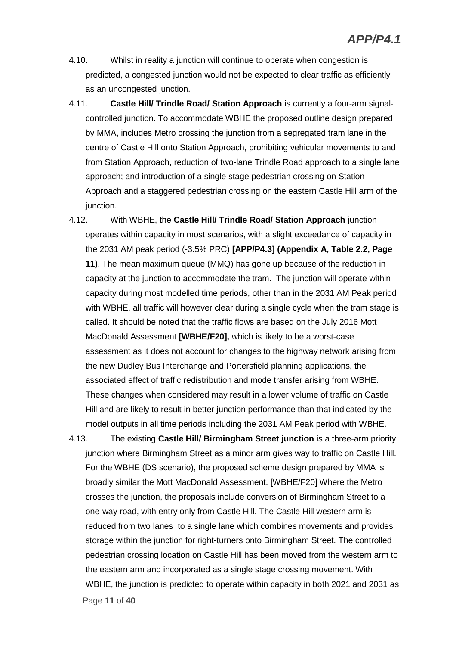- 4.10. Whilst in reality a junction will continue to operate when congestion is predicted, a congested junction would not be expected to clear traffic as efficiently as an uncongested junction.
- 4.11. **Castle Hill/ Trindle Road/ Station Approach** is currently a four-arm signalcontrolled junction. To accommodate WBHE the proposed outline design prepared by MMA, includes Metro crossing the junction from a segregated tram lane in the centre of Castle Hill onto Station Approach, prohibiting vehicular movements to and from Station Approach, reduction of two-lane Trindle Road approach to a single lane approach; and introduction of a single stage pedestrian crossing on Station Approach and a staggered pedestrian crossing on the eastern Castle Hill arm of the junction.
- 4.12. With WBHE, the **Castle Hill/ Trindle Road/ Station Approach** junction operates within capacity in most scenarios, with a slight exceedance of capacity in the 2031 AM peak period (-3.5% PRC) **[APP/P4.3] (Appendix A, Table 2.2, Page 11)**. The mean maximum queue (MMQ) has gone up because of the reduction in capacity at the junction to accommodate the tram. The junction will operate within capacity during most modelled time periods, other than in the 2031 AM Peak period with WBHE, all traffic will however clear during a single cycle when the tram stage is called. It should be noted that the traffic flows are based on the July 2016 Mott MacDonald Assessment **[WBHE/F20],** which is likely to be a worst-case assessment as it does not account for changes to the highway network arising from the new Dudley Bus Interchange and Portersfield planning applications, the associated effect of traffic redistribution and mode transfer arising from WBHE. These changes when considered may result in a lower volume of traffic on Castle Hill and are likely to result in better junction performance than that indicated by the model outputs in all time periods including the 2031 AM Peak period with WBHE.
- Page **11** of **40** 4.13. The existing **Castle Hill/ Birmingham Street junction** is a three-arm priority junction where Birmingham Street as a minor arm gives way to traffic on Castle Hill. For the WBHE (DS scenario), the proposed scheme design prepared by MMA is broadly similar the Mott MacDonald Assessment. [WBHE/F20] Where the Metro crosses the junction, the proposals include conversion of Birmingham Street to a one-way road, with entry only from Castle Hill. The Castle Hill western arm is reduced from two lanes to a single lane which combines movements and provides storage within the junction for right-turners onto Birmingham Street. The controlled pedestrian crossing location on Castle Hill has been moved from the western arm to the eastern arm and incorporated as a single stage crossing movement. With WBHE, the junction is predicted to operate within capacity in both 2021 and 2031 as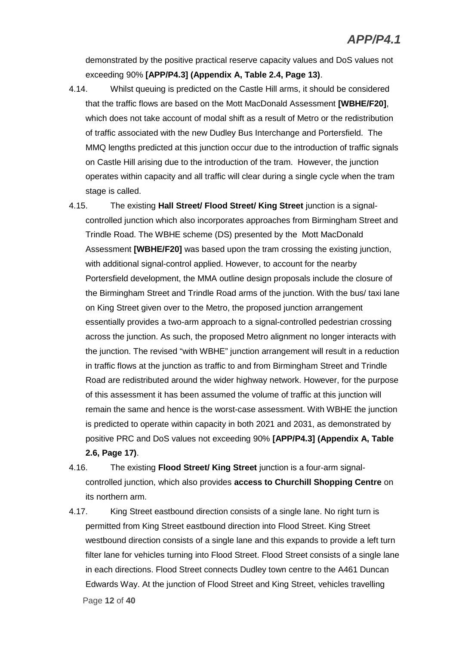demonstrated by the positive practical reserve capacity values and DoS values not exceeding 90% **[APP/P4.3] (Appendix A, Table 2.4, Page 13)**.

- 4.14. Whilst queuing is predicted on the Castle Hill arms, it should be considered that the traffic flows are based on the Mott MacDonald Assessment **[WBHE/F20]**, which does not take account of modal shift as a result of Metro or the redistribution of traffic associated with the new Dudley Bus Interchange and Portersfield. The MMQ lengths predicted at this junction occur due to the introduction of traffic signals on Castle Hill arising due to the introduction of the tram. However, the junction operates within capacity and all traffic will clear during a single cycle when the tram stage is called.
- 4.15. The existing **Hall Street/ Flood Street/ King Street** junction is a signalcontrolled junction which also incorporates approaches from Birmingham Street and Trindle Road. The WBHE scheme (DS) presented by the Mott MacDonald Assessment **[WBHE/F20]** was based upon the tram crossing the existing junction, with additional signal-control applied. However, to account for the nearby Portersfield development, the MMA outline design proposals include the closure of the Birmingham Street and Trindle Road arms of the junction. With the bus/ taxi lane on King Street given over to the Metro, the proposed junction arrangement essentially provides a two-arm approach to a signal-controlled pedestrian crossing across the junction. As such, the proposed Metro alignment no longer interacts with the junction. The revised "with WBHE" junction arrangement will result in a reduction in traffic flows at the junction as traffic to and from Birmingham Street and Trindle Road are redistributed around the wider highway network. However, for the purpose of this assessment it has been assumed the volume of traffic at this junction will remain the same and hence is the worst-case assessment. With WBHE the junction is predicted to operate within capacity in both 2021 and 2031, as demonstrated by positive PRC and DoS values not exceeding 90% **[APP/P4.3] (Appendix A, Table 2.6, Page 17)**.
- 4.16. The existing **Flood Street/ King Street** junction is a four-arm signalcontrolled junction, which also provides **access to Churchill Shopping Centre** on its northern arm.
- Page **12** of **40** 4.17. King Street eastbound direction consists of a single lane. No right turn is permitted from King Street eastbound direction into Flood Street. King Street westbound direction consists of a single lane and this expands to provide a left turn filter lane for vehicles turning into Flood Street. Flood Street consists of a single lane in each directions. Flood Street connects Dudley town centre to the A461 Duncan Edwards Way. At the junction of Flood Street and King Street, vehicles travelling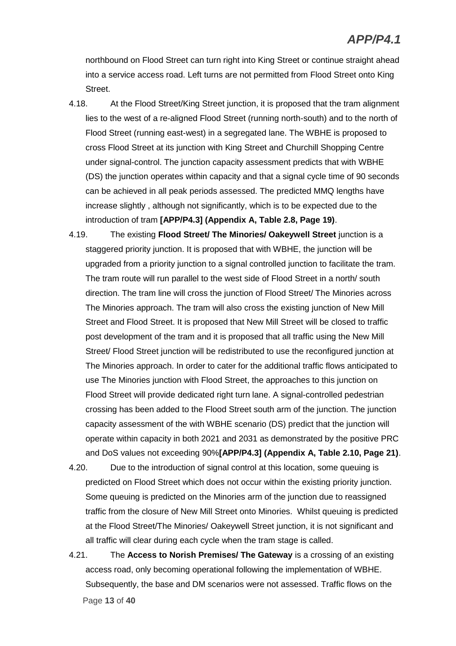northbound on Flood Street can turn right into King Street or continue straight ahead into a service access road. Left turns are not permitted from Flood Street onto King Street.

- 4.18. At the Flood Street/King Street junction, it is proposed that the tram alignment lies to the west of a re-aligned Flood Street (running north-south) and to the north of Flood Street (running east-west) in a segregated lane. The WBHE is proposed to cross Flood Street at its junction with King Street and Churchill Shopping Centre under signal-control. The junction capacity assessment predicts that with WBHE (DS) the junction operates within capacity and that a signal cycle time of 90 seconds can be achieved in all peak periods assessed. The predicted MMQ lengths have increase slightly , although not significantly, which is to be expected due to the introduction of tram **[APP/P4.3] (Appendix A, Table 2.8, Page 19)**.
- 4.19. The existing **Flood Street/ The Minories/ Oakeywell Street** junction is a staggered priority junction. It is proposed that with WBHE, the junction will be upgraded from a priority junction to a signal controlled junction to facilitate the tram. The tram route will run parallel to the west side of Flood Street in a north/ south direction. The tram line will cross the junction of Flood Street/ The Minories across The Minories approach. The tram will also cross the existing junction of New Mill Street and Flood Street. It is proposed that New Mill Street will be closed to traffic post development of the tram and it is proposed that all traffic using the New Mill Street/ Flood Street junction will be redistributed to use the reconfigured junction at The Minories approach. In order to cater for the additional traffic flows anticipated to use The Minories junction with Flood Street, the approaches to this junction on Flood Street will provide dedicated right turn lane. A signal-controlled pedestrian crossing has been added to the Flood Street south arm of the junction. The junction capacity assessment of the with WBHE scenario (DS) predict that the junction will operate within capacity in both 2021 and 2031 as demonstrated by the positive PRC and DoS values not exceeding 90%**[APP/P4.3] (Appendix A, Table 2.10, Page 21)**.
- 4.20. Due to the introduction of signal control at this location, some queuing is predicted on Flood Street which does not occur within the existing priority junction. Some queuing is predicted on the Minories arm of the junction due to reassigned traffic from the closure of New Mill Street onto Minories. Whilst queuing is predicted at the Flood Street/The Minories/ Oakeywell Street junction, it is not significant and all traffic will clear during each cycle when the tram stage is called.
- Page **13** of **40** 4.21. The **Access to Norish Premises/ The Gateway** is a crossing of an existing access road, only becoming operational following the implementation of WBHE. Subsequently, the base and DM scenarios were not assessed. Traffic flows on the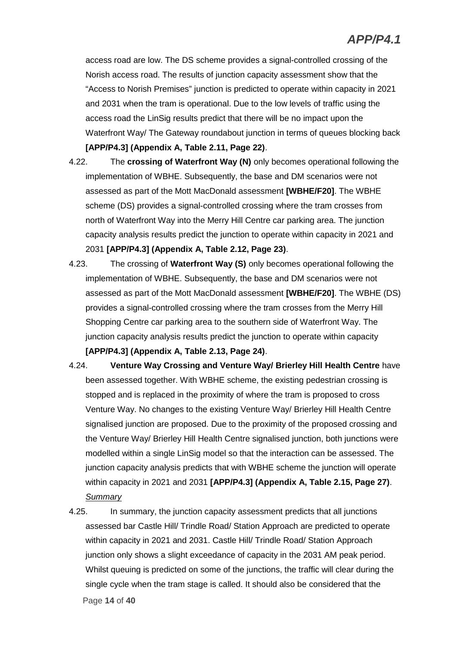access road are low. The DS scheme provides a signal-controlled crossing of the Norish access road. The results of junction capacity assessment show that the "Access to Norish Premises" junction is predicted to operate within capacity in 2021 and 2031 when the tram is operational. Due to the low levels of traffic using the access road the LinSig results predict that there will be no impact upon the Waterfront Way/ The Gateway roundabout junction in terms of queues blocking back **[APP/P4.3] (Appendix A, Table 2.11, Page 22)**.

- 4.22. The **crossing of Waterfront Way (N)** only becomes operational following the implementation of WBHE. Subsequently, the base and DM scenarios were not assessed as part of the Mott MacDonald assessment **[WBHE/F20]**. The WBHE scheme (DS) provides a signal-controlled crossing where the tram crosses from north of Waterfront Way into the Merry Hill Centre car parking area. The junction capacity analysis results predict the junction to operate within capacity in 2021 and 2031 **[APP/P4.3] (Appendix A, Table 2.12, Page 23)**.
- 4.23. The crossing of **Waterfront Way (S)** only becomes operational following the implementation of WBHE. Subsequently, the base and DM scenarios were not assessed as part of the Mott MacDonald assessment **[WBHE/F20]**. The WBHE (DS) provides a signal-controlled crossing where the tram crosses from the Merry Hill Shopping Centre car parking area to the southern side of Waterfront Way. The junction capacity analysis results predict the junction to operate within capacity **[APP/P4.3] (Appendix A, Table 2.13, Page 24)**.
- 4.24. **Venture Way Crossing and Venture Way/ Brierley Hill Health Centre** have been assessed together. With WBHE scheme, the existing pedestrian crossing is stopped and is replaced in the proximity of where the tram is proposed to cross Venture Way. No changes to the existing Venture Way/ Brierley Hill Health Centre signalised junction are proposed. Due to the proximity of the proposed crossing and the Venture Way/ Brierley Hill Health Centre signalised junction, both junctions were modelled within a single LinSig model so that the interaction can be assessed. The junction capacity analysis predicts that with WBHE scheme the junction will operate within capacity in 2021 and 2031 **[APP/P4.3] (Appendix A, Table 2.15, Page 27)**. *Summary*
- Page **14** of **40** 4.25. In summary, the junction capacity assessment predicts that all junctions assessed bar Castle Hill/ Trindle Road/ Station Approach are predicted to operate within capacity in 2021 and 2031. Castle Hill/ Trindle Road/ Station Approach junction only shows a slight exceedance of capacity in the 2031 AM peak period. Whilst queuing is predicted on some of the junctions, the traffic will clear during the single cycle when the tram stage is called. It should also be considered that the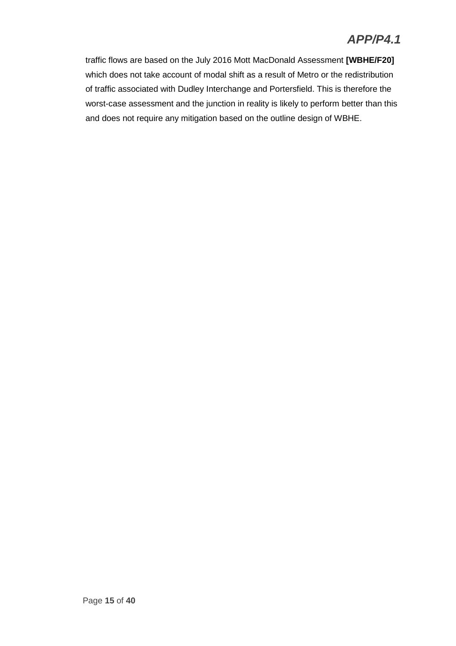# *APP/P4.1*

traffic flows are based on the July 2016 Mott MacDonald Assessment **[WBHE/F20]** which does not take account of modal shift as a result of Metro or the redistribution of traffic associated with Dudley Interchange and Portersfield. This is therefore the worst-case assessment and the junction in reality is likely to perform better than this and does not require any mitigation based on the outline design of WBHE.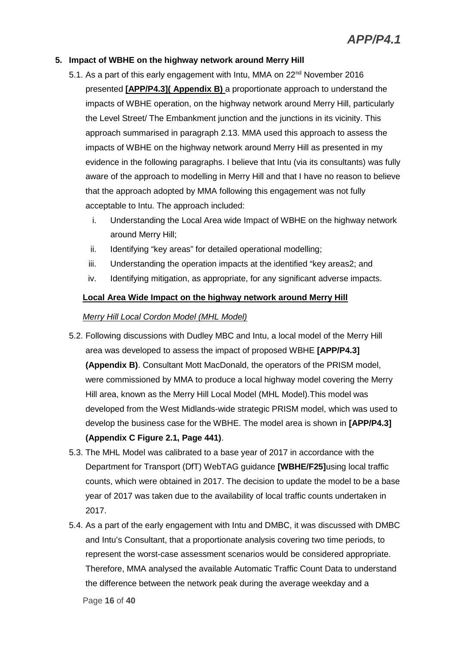#### **5. Impact of WBHE on the highway network around Merry Hill**

- 5.1. As a part of this early engagement with Intu, MMA on 22<sup>nd</sup> November 2016 presented **[APP/P4.3]( Appendix B)** a proportionate approach to understand the impacts of WBHE operation, on the highway network around Merry Hill, particularly the Level Street/ The Embankment junction and the junctions in its vicinity. This approach summarised in paragraph 2.13. MMA used this approach to assess the impacts of WBHE on the highway network around Merry Hill as presented in my evidence in the following paragraphs. I believe that Intu (via its consultants) was fully aware of the approach to modelling in Merry Hill and that I have no reason to believe that the approach adopted by MMA following this engagement was not fully acceptable to Intu. The approach included:
	- i. Understanding the Local Area wide Impact of WBHE on the highway network around Merry Hill;
	- ii. Identifying "key areas" for detailed operational modelling;
	- iii. Understanding the operation impacts at the identified "key areas2; and
	- iv. Identifying mitigation, as appropriate, for any significant adverse impacts.

#### **Local Area Wide Impact on the highway network around Merry Hill**

#### *Merry Hill Local Cordon Model (MHL Model)*

- 5.2. Following discussions with Dudley MBC and Intu, a local model of the Merry Hill area was developed to assess the impact of proposed WBHE **[APP/P4.3] (Appendix B)**. Consultant Mott MacDonald, the operators of the PRISM model, were commissioned by MMA to produce a local highway model covering the Merry Hill area, known as the Merry Hill Local Model (MHL Model).This model was developed from the West Midlands-wide strategic PRISM model, which was used to develop the business case for the WBHE. The model area is shown in **[APP/P4.3] (Appendix C Figure 2.1, Page 441)**.
- 5.3. The MHL Model was calibrated to a base year of 2017 in accordance with the Department for Transport (DfT) WebTAG guidance **[WBHE/F25]**using local traffic counts, which were obtained in 2017. The decision to update the model to be a base year of 2017 was taken due to the availability of local traffic counts undertaken in 2017.
- 5.4. As a part of the early engagement with Intu and DMBC, it was discussed with DMBC and Intu's Consultant, that a proportionate analysis covering two time periods, to represent the worst-case assessment scenarios would be considered appropriate. Therefore, MMA analysed the available Automatic Traffic Count Data to understand the difference between the network peak during the average weekday and a

Page **16** of **40**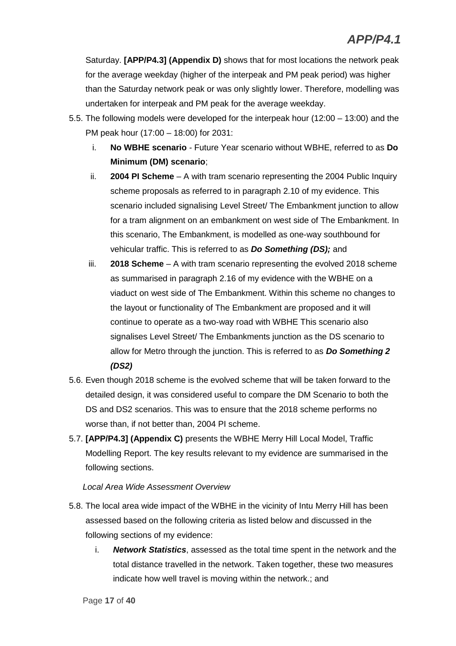Saturday. **[APP/P4.3] (Appendix D)** shows that for most locations the network peak for the average weekday (higher of the interpeak and PM peak period) was higher than the Saturday network peak or was only slightly lower. Therefore, modelling was undertaken for interpeak and PM peak for the average weekday.

- 5.5. The following models were developed for the interpeak hour (12:00 13:00) and the PM peak hour (17:00 – 18:00) for 2031:
	- i. **No WBHE scenario** *-* Future Year scenario without WBHE, referred to as **Do Minimum (DM) scenario**;
	- ii. **2004 PI Scheme** A with tram scenario representing the 2004 Public Inquiry scheme proposals as referred to in paragraph 2.10 of my evidence. This scenario included signalising Level Street/ The Embankment junction to allow for a tram alignment on an embankment on west side of The Embankment. In this scenario, The Embankment, is modelled as one-way southbound for vehicular traffic. This is referred to as *Do Something (DS);* and
	- iii. **2018 Scheme** A with tram scenario representing the evolved 2018 scheme as summarised in paragraph 2.16 of my evidence with the WBHE on a viaduct on west side of The Embankment. Within this scheme no changes to the layout or functionality of The Embankment are proposed and it will continue to operate as a two-way road with WBHE This scenario also signalises Level Street/ The Embankments junction as the DS scenario to allow for Metro through the junction. This is referred to as *Do Something 2 (DS2)*
- 5.6. Even though 2018 scheme is the evolved scheme that will be taken forward to the detailed design, it was considered useful to compare the DM Scenario to both the DS and DS2 scenarios. This was to ensure that the 2018 scheme performs no worse than, if not better than, 2004 PI scheme.
- 5.7. **[APP/P4.3] (Appendix C)** presents the WBHE Merry Hill Local Model, Traffic Modelling Report. The key results relevant to my evidence are summarised in the following sections.

*Local Area Wide Assessment Overview*

- 5.8. The local area wide impact of the WBHE in the vicinity of Intu Merry Hill has been assessed based on the following criteria as listed below and discussed in the following sections of my evidence:
	- i. *Network Statistics*, assessed as the total time spent in the network and the total distance travelled in the network. Taken together, these two measures indicate how well travel is moving within the network.; and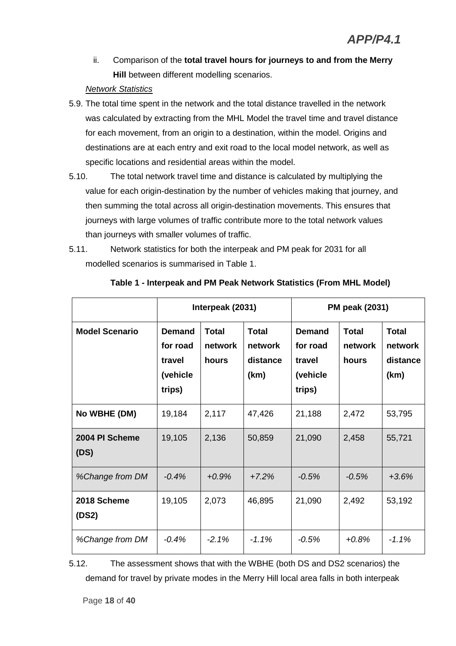ii. Comparison of the **total travel hours for journeys to and from the Merry Hill** between different modelling scenarios.

#### *Network Statistics*

- 5.9. The total time spent in the network and the total distance travelled in the network was calculated by extracting from the MHL Model the travel time and travel distance for each movement, from an origin to a destination, within the model. Origins and destinations are at each entry and exit road to the local model network, as well as specific locations and residential areas within the model.
- 5.10. The total network travel time and distance is calculated by multiplying the value for each origin-destination by the number of vehicles making that journey, and then summing the total across all origin-destination movements. This ensures that journeys with large volumes of traffic contribute more to the total network values than journeys with smaller volumes of traffic.
- 5.11. Network statistics for both the interpeak and PM peak for 2031 for all modelled scenarios is summarised in Table 1.

|                        | Interpeak (2031)                                          |                                  |                                             | <b>PM peak (2031)</b>                                     |                                  |                                             |
|------------------------|-----------------------------------------------------------|----------------------------------|---------------------------------------------|-----------------------------------------------------------|----------------------------------|---------------------------------------------|
| <b>Model Scenario</b>  | <b>Demand</b><br>for road<br>travel<br>(vehicle<br>trips) | <b>Total</b><br>network<br>hours | <b>Total</b><br>network<br>distance<br>(km) | <b>Demand</b><br>for road<br>travel<br>(vehicle<br>trips) | <b>Total</b><br>network<br>hours | <b>Total</b><br>network<br>distance<br>(km) |
| No WBHE (DM)           | 19,184                                                    | 2,117                            | 47,426                                      | 21,188                                                    | 2,472                            | 53,795                                      |
| 2004 PI Scheme<br>(DS) | 19,105                                                    | 2,136                            | 50,859                                      | 21,090                                                    | 2,458                            | 55,721                                      |
| %Change from DM        | $-0.4%$                                                   | $+0.9%$                          | $+7.2%$                                     | $-0.5%$                                                   | $-0.5%$                          | $+3.6%$                                     |
| 2018 Scheme<br>(DS2)   | 19,105                                                    | 2,073                            | 46,895                                      | 21,090                                                    | 2,492                            | 53,192                                      |
| %Change from DM        | $-0.4%$                                                   | $-2.1%$                          | $-1.1%$                                     | $-0.5%$                                                   | $+0.8%$                          | $-1.1%$                                     |

#### **Table 1 - Interpeak and PM Peak Network Statistics (From MHL Model)**

5.12. The assessment shows that with the WBHE (both DS and DS2 scenarios) the demand for travel by private modes in the Merry Hill local area falls in both interpeak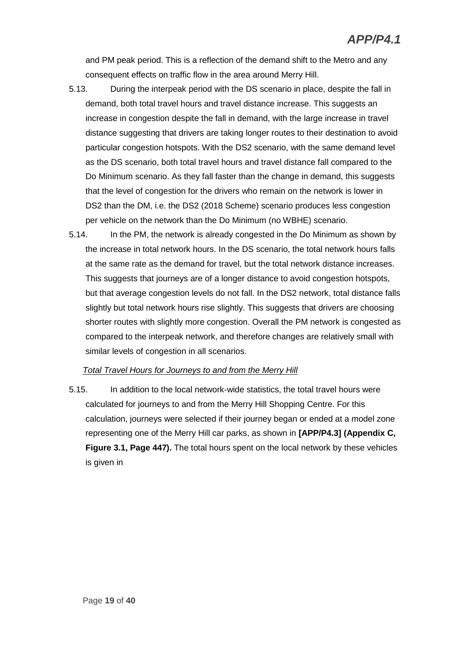and PM peak period. This is a reflection of the demand shift to the Metro and any consequent effects on traffic flow in the area around Merry Hill.

- 5.13. During the interpeak period with the DS scenario in place, despite the fall in demand, both total travel hours and travel distance increase. This suggests an increase in congestion despite the fall in demand, with the large increase in travel distance suggesting that drivers are taking longer routes to their destination to avoid particular congestion hotspots. With the DS2 scenario, with the same demand level as the DS scenario, both total travel hours and travel distance fall compared to the Do Minimum scenario. As they fall faster than the change in demand, this suggests that the level of congestion for the drivers who remain on the network is lower in DS2 than the DM, i.e. the DS2 (2018 Scheme) scenario produces less congestion per vehicle on the network than the Do Minimum (no WBHE) scenario.
- 5.14. In the PM, the network is already congested in the Do Minimum as shown by the increase in total network hours. In the DS scenario, the total network hours falls at the same rate as the demand for travel, but the total network distance increases. This suggests that journeys are of a longer distance to avoid congestion hotspots, but that average congestion levels do not fall. In the DS2 network, total distance falls slightly but total network hours rise slightly. This suggests that drivers are choosing shorter routes with slightly more congestion. Overall the PM network is congested as compared to the interpeak network, and therefore changes are relatively small with similar levels of congestion in all scenarios.

#### *Total Travel Hours for Journeys to and from the Merry Hill*

5.15. In addition to the local network-wide statistics, the total travel hours were calculated for journeys to and from the Merry Hill Shopping Centre. For this calculation, journeys were selected if their journey began or ended at a model zone representing one of the Merry Hill car parks, as shown in **[APP/P4.3] (Appendix C, Figure 3.1, Page 447).** The total hours spent on the local network by these vehicles is given in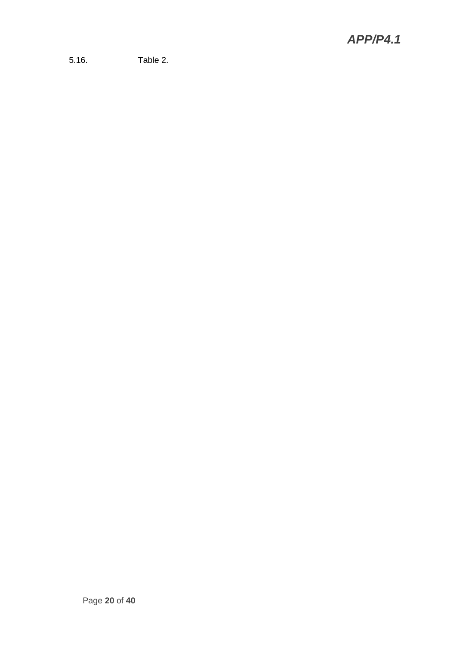5.16. Table 2.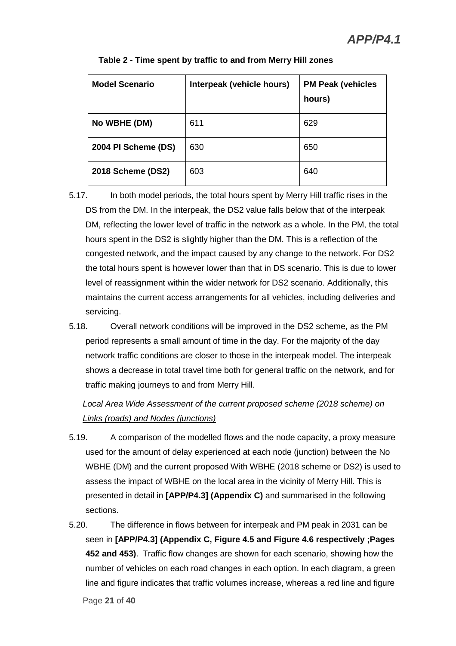| <b>Model Scenario</b> | Interpeak (vehicle hours) | <b>PM Peak (vehicles</b><br>hours) |
|-----------------------|---------------------------|------------------------------------|
| No WBHE (DM)          | 611                       | 629                                |
| 2004 PI Scheme (DS)   | 630                       | 650                                |
| 2018 Scheme (DS2)     | 603                       | 640                                |

#### **Table 2 - Time spent by traffic to and from Merry Hill zones**

- 5.17. In both model periods, the total hours spent by Merry Hill traffic rises in the DS from the DM. In the interpeak, the DS2 value falls below that of the interpeak DM, reflecting the lower level of traffic in the network as a whole. In the PM, the total hours spent in the DS2 is slightly higher than the DM. This is a reflection of the congested network, and the impact caused by any change to the network. For DS2 the total hours spent is however lower than that in DS scenario. This is due to lower level of reassignment within the wider network for DS2 scenario. Additionally, this maintains the current access arrangements for all vehicles, including deliveries and servicing.
- 5.18. Overall network conditions will be improved in the DS2 scheme, as the PM period represents a small amount of time in the day. For the majority of the day network traffic conditions are closer to those in the interpeak model. The interpeak shows a decrease in total travel time both for general traffic on the network, and for traffic making journeys to and from Merry Hill.

## *Local Area Wide Assessment of the current proposed scheme (2018 scheme) on Links (roads) and Nodes (junctions)*

- 5.19. A comparison of the modelled flows and the node capacity, a proxy measure used for the amount of delay experienced at each node (junction) between the No WBHE (DM) and the current proposed With WBHE (2018 scheme or DS2) is used to assess the impact of WBHE on the local area in the vicinity of Merry Hill. This is presented in detail in **[APP/P4.3] (Appendix C)** and summarised in the following sections.
- 5.20. The difference in flows between for interpeak and PM peak in 2031 can be seen in **[APP/P4.3] (Appendix C, Figure 4.5 and Figure 4.6 respectively ;Pages 452 and 453)**. Traffic flow changes are shown for each scenario, showing how the number of vehicles on each road changes in each option. In each diagram, a green line and figure indicates that traffic volumes increase, whereas a red line and figure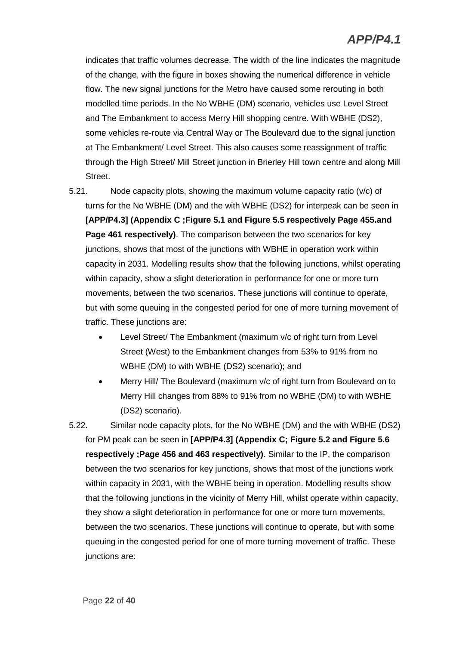indicates that traffic volumes decrease. The width of the line indicates the magnitude of the change, with the figure in boxes showing the numerical difference in vehicle flow. The new signal junctions for the Metro have caused some rerouting in both modelled time periods. In the No WBHE (DM) scenario, vehicles use Level Street and The Embankment to access Merry Hill shopping centre. With WBHE (DS2), some vehicles re-route via Central Way or The Boulevard due to the signal junction at The Embankment/ Level Street. This also causes some reassignment of traffic through the High Street/ Mill Street junction in Brierley Hill town centre and along Mill Street.

- 5.21. Node capacity plots, showing the maximum volume capacity ratio (v/c) of turns for the No WBHE (DM) and the with WBHE (DS2) for interpeak can be seen in **[APP/P4.3] (Appendix C ;Figure 5.1 and Figure 5.5 respectively Page 455.and Page 461 respectively)**. The comparison between the two scenarios for key junctions, shows that most of the junctions with WBHE in operation work within capacity in 2031. Modelling results show that the following junctions, whilst operating within capacity, show a slight deterioration in performance for one or more turn movements, between the two scenarios. These junctions will continue to operate, but with some queuing in the congested period for one of more turning movement of traffic. These junctions are:
	- Level Street/ The Embankment (maximum v/c of right turn from Level Street (West) to the Embankment changes from 53% to 91% from no WBHE (DM) to with WBHE (DS2) scenario); and
	- Merry Hill/ The Boulevard (maximum v/c of right turn from Boulevard on to Merry Hill changes from 88% to 91% from no WBHE (DM) to with WBHE (DS2) scenario).
- 5.22. Similar node capacity plots, for the No WBHE (DM) and the with WBHE (DS2) for PM peak can be seen in **[APP/P4.3] (Appendix C; Figure 5.2 and Figure 5.6 respectively ;Page 456 and 463 respectively)**. Similar to the IP, the comparison between the two scenarios for key junctions, shows that most of the junctions work within capacity in 2031, with the WBHE being in operation. Modelling results show that the following junctions in the vicinity of Merry Hill, whilst operate within capacity, they show a slight deterioration in performance for one or more turn movements, between the two scenarios. These junctions will continue to operate, but with some queuing in the congested period for one of more turning movement of traffic. These junctions are: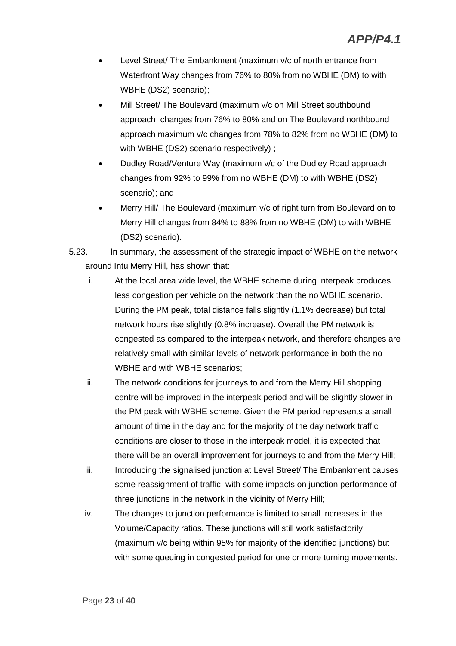- Level Street/ The Embankment (maximum v/c of north entrance from Waterfront Way changes from 76% to 80% from no WBHE (DM) to with WBHE (DS2) scenario);
- Mill Street/ The Boulevard (maximum v/c on Mill Street southbound approach changes from 76% to 80% and on The Boulevard northbound approach maximum v/c changes from 78% to 82% from no WBHE (DM) to with WBHE (DS2) scenario respectively) ;
- Dudley Road/Venture Way (maximum v/c of the Dudley Road approach changes from 92% to 99% from no WBHE (DM) to with WBHE (DS2) scenario); and
- Merry Hill/ The Boulevard (maximum v/c of right turn from Boulevard on to Merry Hill changes from 84% to 88% from no WBHE (DM) to with WBHE (DS2) scenario).
- 5.23. In summary, the assessment of the strategic impact of WBHE on the network around Intu Merry Hill, has shown that:
	- i. At the local area wide level, the WBHE scheme during interpeak produces less congestion per vehicle on the network than the no WBHE scenario. During the PM peak, total distance falls slightly (1.1% decrease) but total network hours rise slightly (0.8% increase). Overall the PM network is congested as compared to the interpeak network, and therefore changes are relatively small with similar levels of network performance in both the no WBHE and with WBHE scenarios;
	- ii. The network conditions for journeys to and from the Merry Hill shopping centre will be improved in the interpeak period and will be slightly slower in the PM peak with WBHE scheme. Given the PM period represents a small amount of time in the day and for the majority of the day network traffic conditions are closer to those in the interpeak model, it is expected that there will be an overall improvement for journeys to and from the Merry Hill;
	- iii. Introducing the signalised junction at Level Street/ The Embankment causes some reassignment of traffic, with some impacts on junction performance of three junctions in the network in the vicinity of Merry Hill;
	- iv. The changes to junction performance is limited to small increases in the Volume/Capacity ratios. These junctions will still work satisfactorily (maximum v/c being within 95% for majority of the identified junctions) but with some queuing in congested period for one or more turning movements.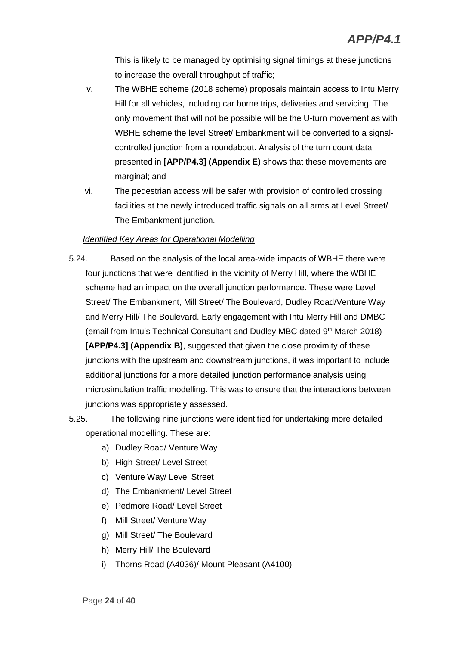This is likely to be managed by optimising signal timings at these junctions to increase the overall throughput of traffic;

- v. The WBHE scheme (2018 scheme) proposals maintain access to Intu Merry Hill for all vehicles, including car borne trips, deliveries and servicing. The only movement that will not be possible will be the U-turn movement as with WBHE scheme the level Street/ Embankment will be converted to a signalcontrolled junction from a roundabout. Analysis of the turn count data presented in **[APP/P4.3] (Appendix E)** shows that these movements are marginal; and
- vi. The pedestrian access will be safer with provision of controlled crossing facilities at the newly introduced traffic signals on all arms at Level Street/ The Embankment junction.

#### *Identified Key Areas for Operational Modelling*

- 5.24. Based on the analysis of the local area-wide impacts of WBHE there were four junctions that were identified in the vicinity of Merry Hill, where the WBHE scheme had an impact on the overall junction performance. These were Level Street/ The Embankment, Mill Street/ The Boulevard, Dudley Road/Venture Way and Merry Hill/ The Boulevard. Early engagement with Intu Merry Hill and DMBC (email from Intu's Technical Consultant and Dudley MBC dated 9th March 2018) **[APP/P4.3] (Appendix B)**, suggested that given the close proximity of these junctions with the upstream and downstream junctions, it was important to include additional junctions for a more detailed junction performance analysis using microsimulation traffic modelling. This was to ensure that the interactions between junctions was appropriately assessed.
- 5.25. The following nine junctions were identified for undertaking more detailed operational modelling. These are:
	- a) Dudley Road/ Venture Way
	- b) High Street/ Level Street
	- c) Venture Way/ Level Street
	- d) The Embankment/ Level Street
	- e) Pedmore Road/ Level Street
	- f) Mill Street/ Venture Way
	- g) Mill Street/ The Boulevard
	- h) Merry Hill/ The Boulevard
	- i) Thorns Road (A4036)/ Mount Pleasant (A4100)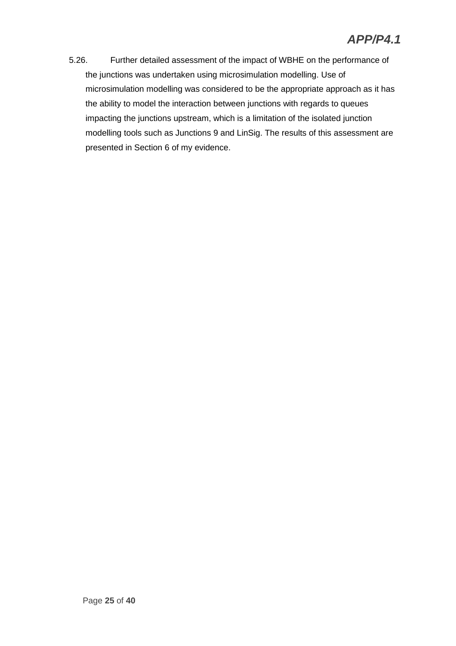5.26. Further detailed assessment of the impact of WBHE on the performance of the junctions was undertaken using microsimulation modelling. Use of microsimulation modelling was considered to be the appropriate approach as it has the ability to model the interaction between junctions with regards to queues impacting the junctions upstream, which is a limitation of the isolated junction modelling tools such as Junctions 9 and LinSig. The results of this assessment are presented in Section 6 of my evidence.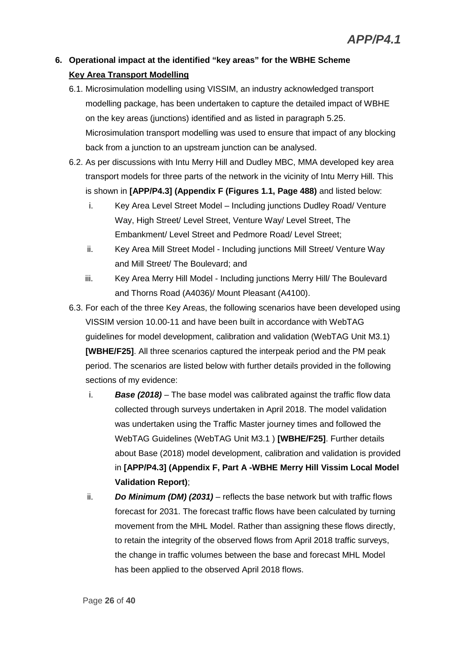## **6. Operational impact at the identified "key areas" for the WBHE Scheme Key Area Transport Modelling**

- 6.1. Microsimulation modelling using VISSIM, an industry acknowledged transport modelling package, has been undertaken to capture the detailed impact of WBHE on the key areas (junctions) identified and as listed in paragraph 5.25. Microsimulation transport modelling was used to ensure that impact of any blocking back from a junction to an upstream junction can be analysed.
- 6.2. As per discussions with Intu Merry Hill and Dudley MBC, MMA developed key area transport models for three parts of the network in the vicinity of Intu Merry Hill. This is shown in **[APP/P4.3] (Appendix F (Figures 1.1, Page 488)** and listed below:
	- i. Key Area Level Street Model Including junctions Dudley Road/ Venture Way, High Street/ Level Street, Venture Way/ Level Street, The Embankment/ Level Street and Pedmore Road/ Level Street;
	- ii. Key Area Mill Street Model Including junctions Mill Street/ Venture Way and Mill Street/ The Boulevard; and
	- iii. Key Area Merry Hill Model Including junctions Merry Hill/ The Boulevard and Thorns Road (A4036)/ Mount Pleasant (A4100).
- 6.3. For each of the three Key Areas, the following scenarios have been developed using VISSIM version 10.00-11 and have been built in accordance with WebTAG guidelines for model development, calibration and validation (WebTAG Unit M3.1) **[WBHE/F25]**. All three scenarios captured the interpeak period and the PM peak period. The scenarios are listed below with further details provided in the following sections of my evidence:
	- i. *Base (2018)* The base model was calibrated against the traffic flow data collected through surveys undertaken in April 2018. The model validation was undertaken using the Traffic Master journey times and followed the WebTAG Guidelines (WebTAG Unit M3.1 ) **[WBHE/F25]**. Further details about Base (2018) model development, calibration and validation is provided in **[APP/P4.3] (Appendix F, Part A -WBHE Merry Hill Vissim Local Model Validation Report)**;
	- ii. *Do Minimum (DM) (2031)* reflects the base network but with traffic flows forecast for 2031. The forecast traffic flows have been calculated by turning movement from the MHL Model. Rather than assigning these flows directly, to retain the integrity of the observed flows from April 2018 traffic surveys, the change in traffic volumes between the base and forecast MHL Model has been applied to the observed April 2018 flows.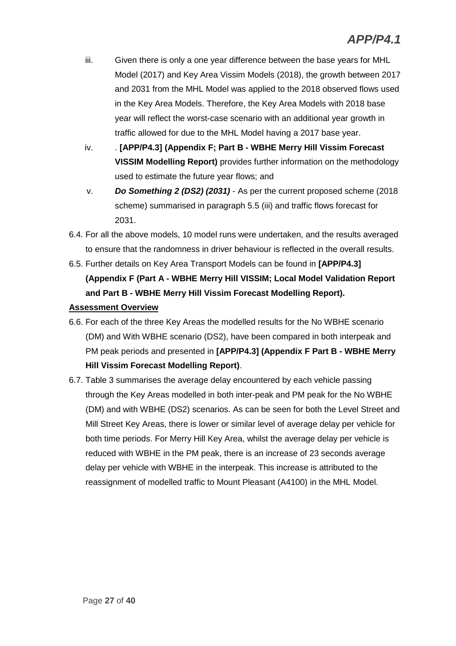- iii. Given there is only a one year difference between the base years for MHL Model (2017) and Key Area Vissim Models (2018), the growth between 2017 and 2031 from the MHL Model was applied to the 2018 observed flows used in the Key Area Models. Therefore, the Key Area Models with 2018 base year will reflect the worst-case scenario with an additional year growth in traffic allowed for due to the MHL Model having a 2017 base year.
- iv. . **[APP/P4.3] (Appendix F; Part B WBHE Merry Hill Vissim Forecast VISSIM Modelling Report)** provides further information on the methodology used to estimate the future year flows; and
- v. *Do Something 2 (DS2) (2031)* As per the current proposed scheme (2018 scheme) summarised in paragraph 5.5 (iii) and traffic flows forecast for 2031.
- 6.4. For all the above models, 10 model runs were undertaken, and the results averaged to ensure that the randomness in driver behaviour is reflected in the overall results.
- 6.5. Further details on Key Area Transport Models can be found in **[APP/P4.3] (Appendix F (Part A - WBHE Merry Hill VISSIM; Local Model Validation Report and Part B - WBHE Merry Hill Vissim Forecast Modelling Report).**

#### **Assessment Overview**

- 6.6. For each of the three Key Areas the modelled results for the No WBHE scenario (DM) and With WBHE scenario (DS2), have been compared in both interpeak and PM peak periods and presented in **[APP/P4.3] (Appendix F Part B - WBHE Merry Hill Vissim Forecast Modelling Report)**.
- 6.7. Table 3 summarises the average delay encountered by each vehicle passing through the Key Areas modelled in both inter-peak and PM peak for the No WBHE (DM) and with WBHE (DS2) scenarios. As can be seen for both the Level Street and Mill Street Key Areas, there is lower or similar level of average delay per vehicle for both time periods. For Merry Hill Key Area, whilst the average delay per vehicle is reduced with WBHE in the PM peak, there is an increase of 23 seconds average delay per vehicle with WBHE in the interpeak. This increase is attributed to the reassignment of modelled traffic to Mount Pleasant (A4100) in the MHL Model.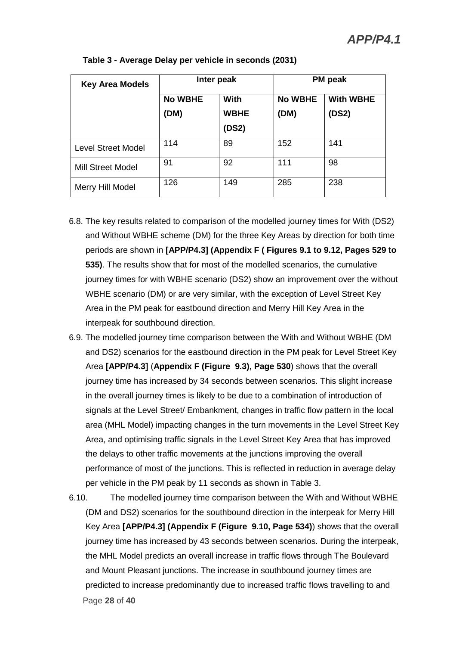| <b>Key Area Models</b>   | Inter peak     |             | <b>PM</b> peak |                  |
|--------------------------|----------------|-------------|----------------|------------------|
|                          | <b>No WBHE</b> | <b>With</b> | <b>No WBHE</b> | <b>With WBHE</b> |
|                          | (DM)           | <b>WBHE</b> | (DM)           | (DS2)            |
|                          |                | (DS2)       |                |                  |
| Level Street Model       | 114            | 89          | 152            | 141              |
| <b>Mill Street Model</b> | 91             | 92          | 111            | 98               |
| Merry Hill Model         | 126            | 149         | 285            | 238              |

#### **Table 3 - Average Delay per vehicle in seconds (2031)**

- 6.8. The key results related to comparison of the modelled journey times for With (DS2) and Without WBHE scheme (DM) for the three Key Areas by direction for both time periods are shown in **[APP/P4.3] (Appendix F ( Figures 9.1 to 9.12, Pages 529 to 535)**. The results show that for most of the modelled scenarios, the cumulative journey times for with WBHE scenario (DS2) show an improvement over the without WBHE scenario (DM) or are very similar, with the exception of Level Street Key Area in the PM peak for eastbound direction and Merry Hill Key Area in the interpeak for southbound direction.
- 6.9. The modelled journey time comparison between the With and Without WBHE (DM and DS2) scenarios for the eastbound direction in the PM peak for Level Street Key Area **[APP/P4.3]** (**Appendix F (Figure 9.3), Page 530**) shows that the overall journey time has increased by 34 seconds between scenarios. This slight increase in the overall journey times is likely to be due to a combination of introduction of signals at the Level Street/ Embankment, changes in traffic flow pattern in the local area (MHL Model) impacting changes in the turn movements in the Level Street Key Area, and optimising traffic signals in the Level Street Key Area that has improved the delays to other traffic movements at the junctions improving the overall performance of most of the junctions. This is reflected in reduction in average delay per vehicle in the PM peak by 11 seconds as shown in Table 3.
- Page **28** of **40** 6.10. The modelled journey time comparison between the With and Without WBHE (DM and DS2) scenarios for the southbound direction in the interpeak for Merry Hill Key Area **[APP/P4.3] (Appendix F (Figure 9.10, Page 534)**) shows that the overall journey time has increased by 43 seconds between scenarios. During the interpeak, the MHL Model predicts an overall increase in traffic flows through The Boulevard and Mount Pleasant junctions. The increase in southbound journey times are predicted to increase predominantly due to increased traffic flows travelling to and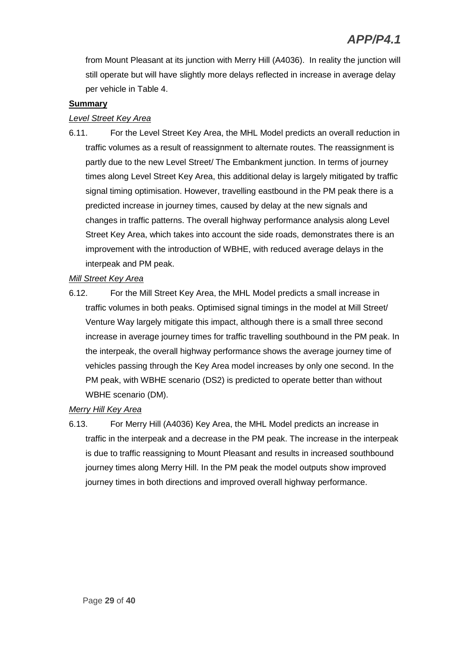from Mount Pleasant at its junction with Merry Hill (A4036). In reality the junction will still operate but will have slightly more delays reflected in increase in average delay per vehicle in Table 4.

#### **Summary**

#### *Level Street Key Area*

6.11. For the Level Street Key Area, the MHL Model predicts an overall reduction in traffic volumes as a result of reassignment to alternate routes. The reassignment is partly due to the new Level Street/ The Embankment junction. In terms of journey times along Level Street Key Area, this additional delay is largely mitigated by traffic signal timing optimisation. However, travelling eastbound in the PM peak there is a predicted increase in journey times, caused by delay at the new signals and changes in traffic patterns. The overall highway performance analysis along Level Street Key Area, which takes into account the side roads, demonstrates there is an improvement with the introduction of WBHE, with reduced average delays in the interpeak and PM peak.

#### *Mill Street Key Area*

6.12. For the Mill Street Key Area, the MHL Model predicts a small increase in traffic volumes in both peaks. Optimised signal timings in the model at Mill Street/ Venture Way largely mitigate this impact, although there is a small three second increase in average journey times for traffic travelling southbound in the PM peak. In the interpeak, the overall highway performance shows the average journey time of vehicles passing through the Key Area model increases by only one second. In the PM peak, with WBHE scenario (DS2) is predicted to operate better than without WBHE scenario (DM).

#### *Merry Hill Key Area*

6.13. For Merry Hill (A4036) Key Area, the MHL Model predicts an increase in traffic in the interpeak and a decrease in the PM peak. The increase in the interpeak is due to traffic reassigning to Mount Pleasant and results in increased southbound journey times along Merry Hill. In the PM peak the model outputs show improved journey times in both directions and improved overall highway performance.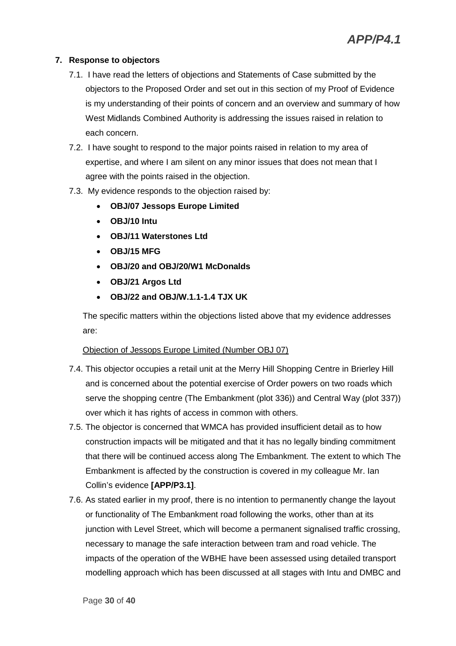#### **7. Response to objectors**

- 7.1. I have read the letters of objections and Statements of Case submitted by the objectors to the Proposed Order and set out in this section of my Proof of Evidence is my understanding of their points of concern and an overview and summary of how West Midlands Combined Authority is addressing the issues raised in relation to each concern.
- 7.2. I have sought to respond to the major points raised in relation to my area of expertise, and where I am silent on any minor issues that does not mean that I agree with the points raised in the objection.
- 7.3. My evidence responds to the objection raised by:
	- **OBJ/07 Jessops Europe Limited**
	- **OBJ/10 Intu**
	- **OBJ/11 Waterstones Ltd**
	- **OBJ/15 MFG**
	- **OBJ/20 and OBJ/20/W1 McDonalds**
	- **OBJ/21 Argos Ltd**
	- **OBJ/22 and OBJ/W.1.1-1.4 TJX UK**

The specific matters within the objections listed above that my evidence addresses are:

#### Objection of Jessops Europe Limited (Number OBJ 07)

- 7.4. This objector occupies a retail unit at the Merry Hill Shopping Centre in Brierley Hill and is concerned about the potential exercise of Order powers on two roads which serve the shopping centre (The Embankment (plot 336)) and Central Way (plot 337)) over which it has rights of access in common with others.
- 7.5. The objector is concerned that WMCA has provided insufficient detail as to how construction impacts will be mitigated and that it has no legally binding commitment that there will be continued access along The Embankment. The extent to which The Embankment is affected by the construction is covered in my colleague Mr. Ian Collin's evidence **[APP/P3.1]**.
- 7.6. As stated earlier in my proof, there is no intention to permanently change the layout or functionality of The Embankment road following the works, other than at its junction with Level Street, which will become a permanent signalised traffic crossing, necessary to manage the safe interaction between tram and road vehicle. The impacts of the operation of the WBHE have been assessed using detailed transport modelling approach which has been discussed at all stages with Intu and DMBC and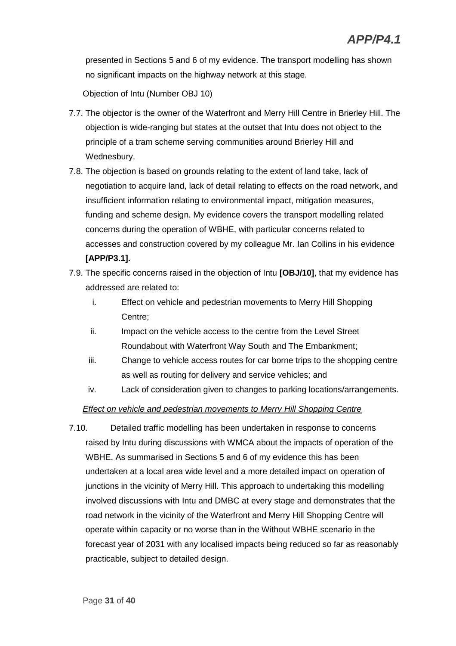presented in Sections 5 and 6 of my evidence. The transport modelling has shown no significant impacts on the highway network at this stage.

#### Objection of Intu (Number OBJ 10)

- 7.7. The objector is the owner of the Waterfront and Merry Hill Centre in Brierley Hill. The objection is wide-ranging but states at the outset that Intu does not object to the principle of a tram scheme serving communities around Brierley Hill and Wednesbury.
- 7.8. The objection is based on grounds relating to the extent of land take, lack of negotiation to acquire land, lack of detail relating to effects on the road network, and insufficient information relating to environmental impact, mitigation measures, funding and scheme design. My evidence covers the transport modelling related concerns during the operation of WBHE, with particular concerns related to accesses and construction covered by my colleague Mr. Ian Collins in his evidence **[APP/P3.1].**
- 7.9. The specific concerns raised in the objection of Intu **[OBJ/10]**, that my evidence has addressed are related to:
	- i. Effect on vehicle and pedestrian movements to Merry Hill Shopping Centre;
	- ii. Impact on the vehicle access to the centre from the Level Street Roundabout with Waterfront Way South and The Embankment;
	- iii. Change to vehicle access routes for car borne trips to the shopping centre as well as routing for delivery and service vehicles; and
	- iv. Lack of consideration given to changes to parking locations/arrangements.

#### *Effect on vehicle and pedestrian movements to Merry Hill Shopping Centre*

7.10. Detailed traffic modelling has been undertaken in response to concerns raised by Intu during discussions with WMCA about the impacts of operation of the WBHE. As summarised in Sections 5 and 6 of my evidence this has been undertaken at a local area wide level and a more detailed impact on operation of junctions in the vicinity of Merry Hill. This approach to undertaking this modelling involved discussions with Intu and DMBC at every stage and demonstrates that the road network in the vicinity of the Waterfront and Merry Hill Shopping Centre will operate within capacity or no worse than in the Without WBHE scenario in the forecast year of 2031 with any localised impacts being reduced so far as reasonably practicable, subject to detailed design.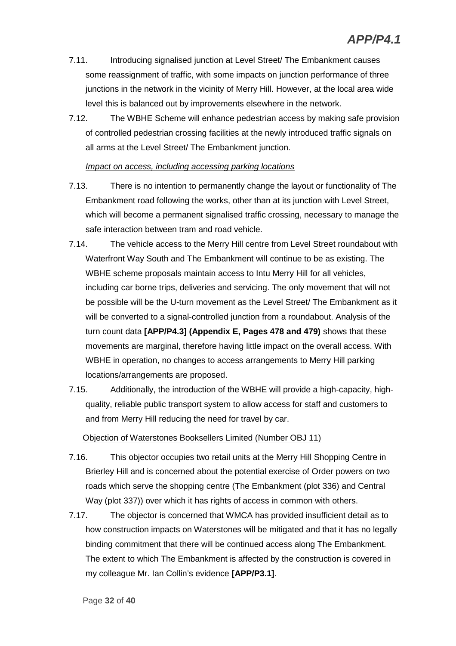- 7.11. Introducing signalised junction at Level Street/ The Embankment causes some reassignment of traffic, with some impacts on junction performance of three junctions in the network in the vicinity of Merry Hill. However, at the local area wide level this is balanced out by improvements elsewhere in the network.
- 7.12. The WBHE Scheme will enhance pedestrian access by making safe provision of controlled pedestrian crossing facilities at the newly introduced traffic signals on all arms at the Level Street/ The Embankment junction.

#### *Impact on access, including accessing parking locations*

- 7.13. There is no intention to permanently change the layout or functionality of The Embankment road following the works, other than at its junction with Level Street, which will become a permanent signalised traffic crossing, necessary to manage the safe interaction between tram and road vehicle.
- 7.14. The vehicle access to the Merry Hill centre from Level Street roundabout with Waterfront Way South and The Embankment will continue to be as existing. The WBHE scheme proposals maintain access to Intu Merry Hill for all vehicles, including car borne trips, deliveries and servicing. The only movement that will not be possible will be the U-turn movement as the Level Street/ The Embankment as it will be converted to a signal-controlled junction from a roundabout. Analysis of the turn count data **[APP/P4.3] (Appendix E, Pages 478 and 479)** shows that these movements are marginal, therefore having little impact on the overall access. With WBHE in operation, no changes to access arrangements to Merry Hill parking locations/arrangements are proposed.
- 7.15. Additionally, the introduction of the WBHE will provide a high-capacity, highquality, reliable public transport system to allow access for staff and customers to and from Merry Hill reducing the need for travel by car.

#### Objection of Waterstones Booksellers Limited (Number OBJ 11)

- 7.16. This objector occupies two retail units at the Merry Hill Shopping Centre in Brierley Hill and is concerned about the potential exercise of Order powers on two roads which serve the shopping centre (The Embankment (plot 336) and Central Way (plot 337)) over which it has rights of access in common with others.
- 7.17. The objector is concerned that WMCA has provided insufficient detail as to how construction impacts on Waterstones will be mitigated and that it has no legally binding commitment that there will be continued access along The Embankment. The extent to which The Embankment is affected by the construction is covered in my colleague Mr. Ian Collin's evidence **[APP/P3.1]**.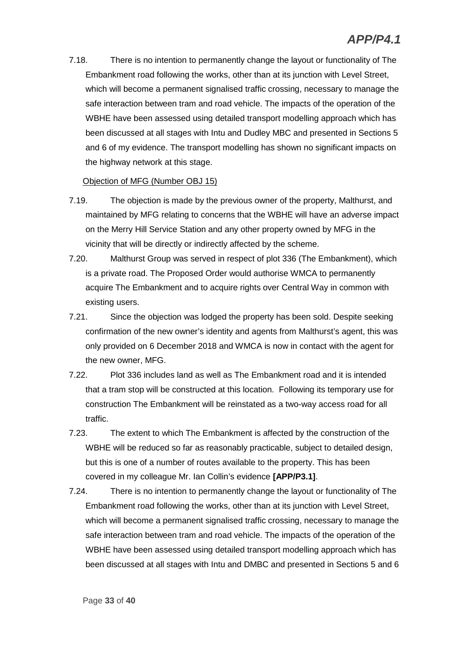7.18. There is no intention to permanently change the layout or functionality of The Embankment road following the works, other than at its junction with Level Street, which will become a permanent signalised traffic crossing, necessary to manage the safe interaction between tram and road vehicle. The impacts of the operation of the WBHE have been assessed using detailed transport modelling approach which has been discussed at all stages with Intu and Dudley MBC and presented in Sections 5 and 6 of my evidence. The transport modelling has shown no significant impacts on the highway network at this stage.

#### Objection of MFG (Number OBJ 15)

- 7.19. The objection is made by the previous owner of the property, Malthurst, and maintained by MFG relating to concerns that the WBHE will have an adverse impact on the Merry Hill Service Station and any other property owned by MFG in the vicinity that will be directly or indirectly affected by the scheme.
- 7.20. Malthurst Group was served in respect of plot 336 (The Embankment), which is a private road. The Proposed Order would authorise WMCA to permanently acquire The Embankment and to acquire rights over Central Way in common with existing users.
- 7.21. Since the objection was lodged the property has been sold. Despite seeking confirmation of the new owner's identity and agents from Malthurst's agent, this was only provided on 6 December 2018 and WMCA is now in contact with the agent for the new owner, MFG.
- 7.22. Plot 336 includes land as well as The Embankment road and it is intended that a tram stop will be constructed at this location. Following its temporary use for construction The Embankment will be reinstated as a two-way access road for all traffic.
- 7.23. The extent to which The Embankment is affected by the construction of the WBHE will be reduced so far as reasonably practicable, subject to detailed design, but this is one of a number of routes available to the property. This has been covered in my colleague Mr. Ian Collin's evidence **[APP/P3.1]**.
- 7.24. There is no intention to permanently change the layout or functionality of The Embankment road following the works, other than at its junction with Level Street, which will become a permanent signalised traffic crossing, necessary to manage the safe interaction between tram and road vehicle. The impacts of the operation of the WBHE have been assessed using detailed transport modelling approach which has been discussed at all stages with Intu and DMBC and presented in Sections 5 and 6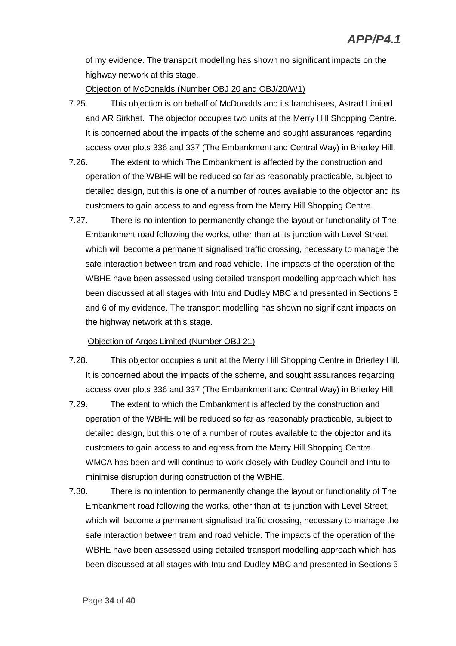of my evidence. The transport modelling has shown no significant impacts on the highway network at this stage.

Objection of McDonalds (Number OBJ 20 and OBJ/20/W1)

- 7.25. This objection is on behalf of McDonalds and its franchisees, Astrad Limited and AR Sirkhat. The objector occupies two units at the Merry Hill Shopping Centre. It is concerned about the impacts of the scheme and sought assurances regarding access over plots 336 and 337 (The Embankment and Central Way) in Brierley Hill.
- 7.26. The extent to which The Embankment is affected by the construction and operation of the WBHE will be reduced so far as reasonably practicable, subject to detailed design, but this is one of a number of routes available to the objector and its customers to gain access to and egress from the Merry Hill Shopping Centre.
- 7.27. There is no intention to permanently change the layout or functionality of The Embankment road following the works, other than at its junction with Level Street, which will become a permanent signalised traffic crossing, necessary to manage the safe interaction between tram and road vehicle. The impacts of the operation of the WBHE have been assessed using detailed transport modelling approach which has been discussed at all stages with Intu and Dudley MBC and presented in Sections 5 and 6 of my evidence. The transport modelling has shown no significant impacts on the highway network at this stage.

#### Objection of Argos Limited (Number OBJ 21)

- 7.28. This objector occupies a unit at the Merry Hill Shopping Centre in Brierley Hill. It is concerned about the impacts of the scheme, and sought assurances regarding access over plots 336 and 337 (The Embankment and Central Way) in Brierley Hill
- 7.29. The extent to which the Embankment is affected by the construction and operation of the WBHE will be reduced so far as reasonably practicable, subject to detailed design, but this one of a number of routes available to the objector and its customers to gain access to and egress from the Merry Hill Shopping Centre. WMCA has been and will continue to work closely with Dudley Council and Intu to minimise disruption during construction of the WBHE.
- 7.30. There is no intention to permanently change the layout or functionality of The Embankment road following the works, other than at its junction with Level Street, which will become a permanent signalised traffic crossing, necessary to manage the safe interaction between tram and road vehicle. The impacts of the operation of the WBHE have been assessed using detailed transport modelling approach which has been discussed at all stages with Intu and Dudley MBC and presented in Sections 5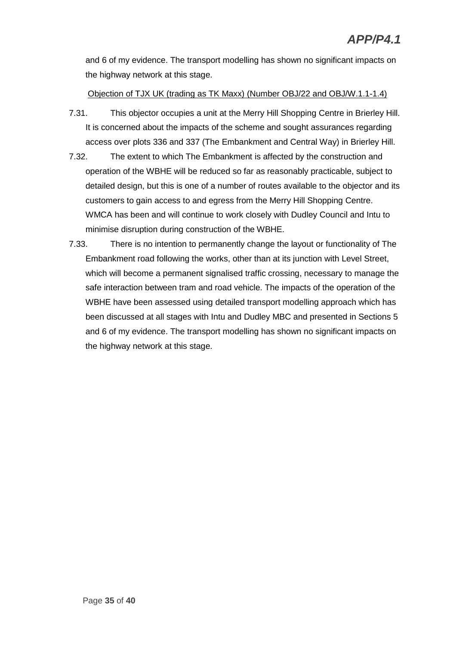and 6 of my evidence. The transport modelling has shown no significant impacts on the highway network at this stage.

#### Objection of TJX UK (trading as TK Maxx) (Number OBJ/22 and OBJ/W.1.1-1.4)

- 7.31. This objector occupies a unit at the Merry Hill Shopping Centre in Brierley Hill. It is concerned about the impacts of the scheme and sought assurances regarding access over plots 336 and 337 (The Embankment and Central Way) in Brierley Hill.
- 7.32. The extent to which The Embankment is affected by the construction and operation of the WBHE will be reduced so far as reasonably practicable, subject to detailed design, but this is one of a number of routes available to the objector and its customers to gain access to and egress from the Merry Hill Shopping Centre. WMCA has been and will continue to work closely with Dudley Council and Intu to minimise disruption during construction of the WBHE.
- 7.33. There is no intention to permanently change the layout or functionality of The Embankment road following the works, other than at its junction with Level Street, which will become a permanent signalised traffic crossing, necessary to manage the safe interaction between tram and road vehicle. The impacts of the operation of the WBHE have been assessed using detailed transport modelling approach which has been discussed at all stages with Intu and Dudley MBC and presented in Sections 5 and 6 of my evidence. The transport modelling has shown no significant impacts on the highway network at this stage.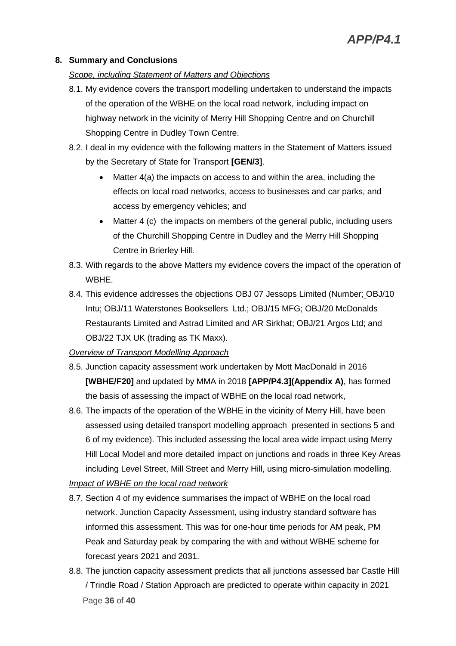#### **8. Summary and Conclusions**

#### *Scope, including Statement of Matters and Objections*

- 8.1. My evidence covers the transport modelling undertaken to understand the impacts of the operation of the WBHE on the local road network, including impact on highway network in the vicinity of Merry Hill Shopping Centre and on Churchill Shopping Centre in Dudley Town Centre.
- 8.2. I deal in my evidence with the following matters in the Statement of Matters issued by the Secretary of State for Transport **[GEN/3]**.
	- Matter 4(a) the impacts on access to and within the area, including the effects on local road networks, access to businesses and car parks, and access by emergency vehicles; and
	- Matter 4 (c) the impacts on members of the general public, including users of the Churchill Shopping Centre in Dudley and the Merry Hill Shopping Centre in Brierley Hill.
- 8.3. With regards to the above Matters my evidence covers the impact of the operation of WBHE.
- 8.4. This evidence addresses the objections OBJ 07 Jessops Limited (Number; OBJ/10 Intu; OBJ/11 Waterstones Booksellers Ltd.; OBJ/15 MFG; OBJ/20 McDonalds Restaurants Limited and Astrad Limited and AR Sirkhat; OBJ/21 Argos Ltd; and OBJ/22 TJX UK (trading as TK Maxx).

#### *Overview of Transport Modelling Approach*

- 8.5. Junction capacity assessment work undertaken by Mott MacDonald in 2016 **[WBHE/F20]** and updated by MMA in 2018 **[APP/P4.3](Appendix A)**, has formed the basis of assessing the impact of WBHE on the local road network,
- 8.6. The impacts of the operation of the WBHE in the vicinity of Merry Hill, have been assessed using detailed transport modelling approach presented in sections 5 and 6 of my evidence). This included assessing the local area wide impact using Merry Hill Local Model and more detailed impact on junctions and roads in three Key Areas including Level Street, Mill Street and Merry Hill, using micro-simulation modelling.

#### *Impact of WBHE on the local road network*

- 8.7. Section 4 of my evidence summarises the impact of WBHE on the local road network. Junction Capacity Assessment, using industry standard software has informed this assessment. This was for one-hour time periods for AM peak, PM Peak and Saturday peak by comparing the with and without WBHE scheme for forecast years 2021 and 2031.
- Page **36** of **40** 8.8. The junction capacity assessment predicts that all junctions assessed bar Castle Hill / Trindle Road / Station Approach are predicted to operate within capacity in 2021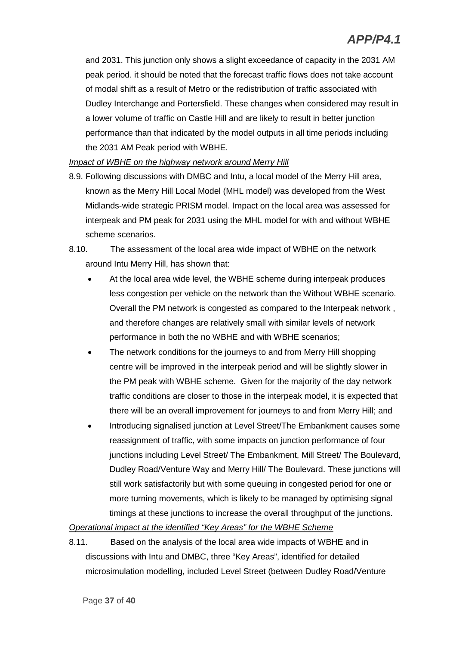and 2031. This junction only shows a slight exceedance of capacity in the 2031 AM peak period. it should be noted that the forecast traffic flows does not take account of modal shift as a result of Metro or the redistribution of traffic associated with Dudley Interchange and Portersfield. These changes when considered may result in a lower volume of traffic on Castle Hill and are likely to result in better junction performance than that indicated by the model outputs in all time periods including the 2031 AM Peak period with WBHE.

#### *Impact of WBHE on the highway network around Merry Hill*

- 8.9. Following discussions with DMBC and Intu, a local model of the Merry Hill area, known as the Merry Hill Local Model (MHL model) was developed from the West Midlands-wide strategic PRISM model. Impact on the local area was assessed for interpeak and PM peak for 2031 using the MHL model for with and without WBHE scheme scenarios.
- 8.10. The assessment of the local area wide impact of WBHE on the network around Intu Merry Hill, has shown that:
	- At the local area wide level, the WBHE scheme during interpeak produces less congestion per vehicle on the network than the Without WBHE scenario. Overall the PM network is congested as compared to the Interpeak network , and therefore changes are relatively small with similar levels of network performance in both the no WBHE and with WBHE scenarios;
	- The network conditions for the journeys to and from Merry Hill shopping centre will be improved in the interpeak period and will be slightly slower in the PM peak with WBHE scheme. Given for the majority of the day network traffic conditions are closer to those in the interpeak model, it is expected that there will be an overall improvement for journeys to and from Merry Hill; and
	- Introducing signalised junction at Level Street/The Embankment causes some reassignment of traffic, with some impacts on junction performance of four junctions including Level Street/ The Embankment, Mill Street/ The Boulevard, Dudley Road/Venture Way and Merry Hill/ The Boulevard. These junctions will still work satisfactorily but with some queuing in congested period for one or more turning movements, which is likely to be managed by optimising signal timings at these junctions to increase the overall throughput of the junctions.

*Operational impact at the identified "Key Areas" for the WBHE Scheme*

8.11. Based on the analysis of the local area wide impacts of WBHE and in discussions with Intu and DMBC, three "Key Areas", identified for detailed microsimulation modelling, included Level Street (between Dudley Road/Venture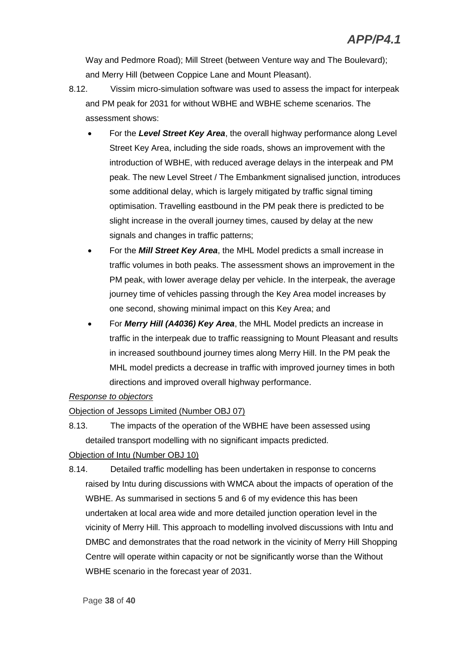Way and Pedmore Road); Mill Street (between Venture way and The Boulevard); and Merry Hill (between Coppice Lane and Mount Pleasant).

- 8.12. Vissim micro-simulation software was used to assess the impact for interpeak and PM peak for 2031 for without WBHE and WBHE scheme scenarios. The assessment shows:
	- For the *Level Street Key Area*, the overall highway performance along Level Street Key Area, including the side roads, shows an improvement with the introduction of WBHE, with reduced average delays in the interpeak and PM peak. The new Level Street / The Embankment signalised junction, introduces some additional delay, which is largely mitigated by traffic signal timing optimisation. Travelling eastbound in the PM peak there is predicted to be slight increase in the overall journey times, caused by delay at the new signals and changes in traffic patterns;
	- For the *Mill Street Key Area*, the MHL Model predicts a small increase in traffic volumes in both peaks. The assessment shows an improvement in the PM peak, with lower average delay per vehicle. In the interpeak, the average journey time of vehicles passing through the Key Area model increases by one second, showing minimal impact on this Key Area; and
	- For *Merry Hill (A4036) Key Area*, the MHL Model predicts an increase in traffic in the interpeak due to traffic reassigning to Mount Pleasant and results in increased southbound journey times along Merry Hill. In the PM peak the MHL model predicts a decrease in traffic with improved journey times in both directions and improved overall highway performance.

#### *Response to objectors*

#### Objection of Jessops Limited (Number OBJ 07)

8.13. The impacts of the operation of the WBHE have been assessed using detailed transport modelling with no significant impacts predicted.

#### Objection of Intu (Number OBJ 10)

8.14. Detailed traffic modelling has been undertaken in response to concerns raised by Intu during discussions with WMCA about the impacts of operation of the WBHE. As summarised in sections 5 and 6 of my evidence this has been undertaken at local area wide and more detailed junction operation level in the vicinity of Merry Hill. This approach to modelling involved discussions with Intu and DMBC and demonstrates that the road network in the vicinity of Merry Hill Shopping Centre will operate within capacity or not be significantly worse than the Without WBHE scenario in the forecast year of 2031.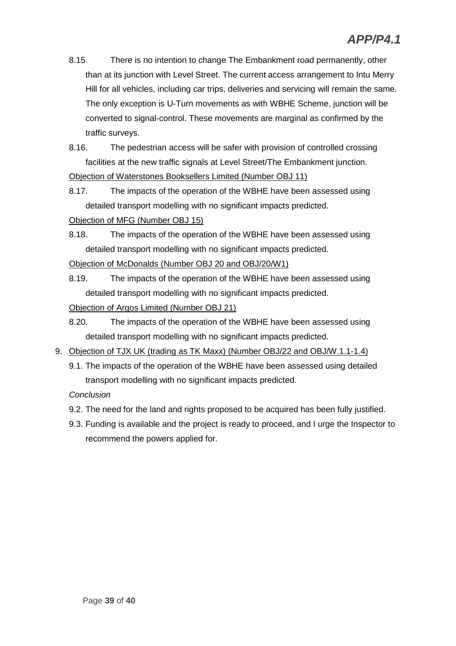8.15. There is no intention to change The Embankment road permanently, other than at its junction with Level Street. The current access arrangement to Intu Merry Hill for all vehicles, including car trips, deliveries and servicing will remain the same. The only exception is U-Turn movements as with WBHE Scheme, junction will be converted to signal-control. These movements are marginal as confirmed by the traffic surveys.

8.16. The pedestrian access will be safer with provision of controlled crossing facilities at the new traffic signals at Level Street/The Embankment junction.

Objection of Waterstones Booksellers Limited (Number OBJ 11)

8.17. The impacts of the operation of the WBHE have been assessed using detailed transport modelling with no significant impacts predicted.

Objection of MFG (Number OBJ 15)

8.18. The impacts of the operation of the WBHE have been assessed using detailed transport modelling with no significant impacts predicted.

Objection of McDonalds (Number OBJ 20 and OBJ/20/W1)

8.19. The impacts of the operation of the WBHE have been assessed using detailed transport modelling with no significant impacts predicted.

Objection of Argos Limited (Number OBJ 21)

- 8.20. The impacts of the operation of the WBHE have been assessed using detailed transport modelling with no significant impacts predicted.
- 9. Objection of TJX UK (trading as TK Maxx) (Number OBJ/22 and OBJ/W.1.1-1.4)
	- 9.1. The impacts of the operation of the WBHE have been assessed using detailed transport modelling with no significant impacts predicted.

*Conclusion*

- 9.2. The need for the land and rights proposed to be acquired has been fully justified.
- 9.3. Funding is available and the project is ready to proceed, and I urge the Inspector to recommend the powers applied for.